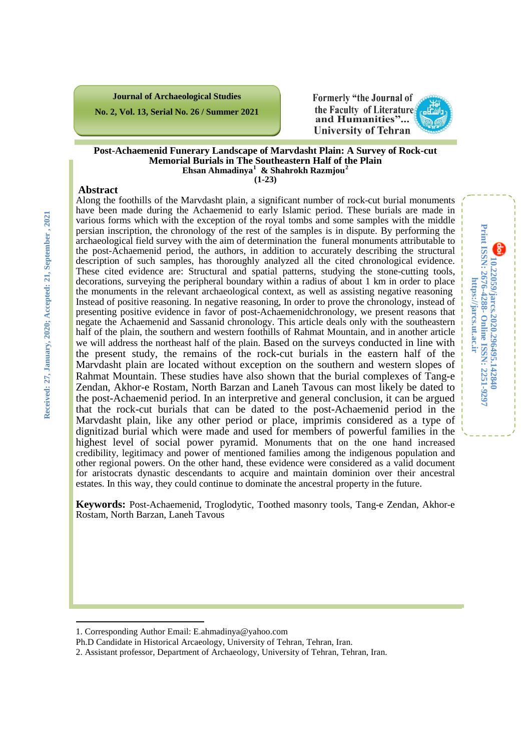**Journal of Archaeological Studies**

**No. 2, Vol. 13, Serial No. 26 / Summer 2021**



**10.22059/jarcs.2020.296495.142840**

**Online ISSN: 2251-9297**

**https://jarcs.ut.ac.ir**

https://jarcs.ut.ac.ir

**Print ISSN: 2676-4288-**

Print ISSN: 2676-4288- Online ISSN: 2251-9297 10.22059/jarcs.2020.296495.142840

#### **Post-Achaemenid Funerary Landscape of Marvdasht Plain: A Survey of Rock-cut Memorial Burials in The Southeastern Half of the Plain Ehsan Ahmadinya[1](#page-0-0) & Shahrokh Razmjou[2](#page-0-1)**

**(1-23)**

#### **Abstract**

Along the foothills of the Marvdasht plain, a significant number of rock-cut burial monuments have been made during the Achaemenid to early Islamic period. These burials are made in various forms which with the exception of the royal tombs and some samples with the middle persian inscription, the chronology of the rest of the samples is in dispute. By performing the archaeological field survey with the aim of determination the funeral monuments attributable to the post-Achaemenid period, the authors, in addition to accurately describing the structural description of such samples, has thoroughly analyzed all the cited chronological evidence. These cited evidence are: Structural and spatial patterns, studying the stone-cutting tools, decorations, surveying the peripheral boundary within a radius of about 1 km in order to place the monuments in the relevant archaeological context, as well as assisting negative reasoning Instead of positive reasoning. In negative reasoning, In order to prove the chronology, instead of presenting positive evidence in favor of post-Achaemenidchronology, we present reasons that negate the Achaemenid and Sassanid chronology. This article deals only with the southeastern half of the plain, the southern and western foothills of Rahmat Mountain, and in another article we will address the northeast half of the plain. Based on the surveys conducted in line with the present study, the remains of the rock-cut burials in the eastern half of the Marvdasht plain are located without exception on the southern and western slopes of Rahmat Mountain. These studies have also shown that the burial complexes of Tang-e Zendan, Akhor-e Rostam, North Barzan and Laneh Tavous can most likely be dated to the post-Achaemenid period. In an interpretive and general conclusion, it can be argued that the rock-cut burials that can be dated to the post-Achaemenid period in the Marvdasht plain, like any other period or place, imprimis considered as a type of dignitizad burial which were made and used for members of powerful families in the highest level of social power pyramid. Monuments that on the one hand increased credibility, legitimacy and power of mentioned families among the indigenous population and other regional powers. On the other hand, these evidence were considered as a valid document for aristocrats dynastic descendants to acquire and maintain dominion over their ancestral estates. In this way, they could continue to dominate the ancestral property in the future.

**Keywords:** Post-Achaemenid, Troglodytic, Toothed masonry tools, Tang-e Zendan, Akhor-e Rostam, North Barzan, Laneh Tavous

 $\overline{\phantom{a}}$ 

<sup>1.</sup> Corresponding Author Email: E.ahmadinya@yahoo.com

<span id="page-0-0"></span>Ph.D Candidate in Historical Arcaeology, University of Tehran, Tehran, Iran.

<span id="page-0-1"></span><sup>2.</sup> Assistant professor, Department of Archaeology, University of Tehran, Tehran, Iran.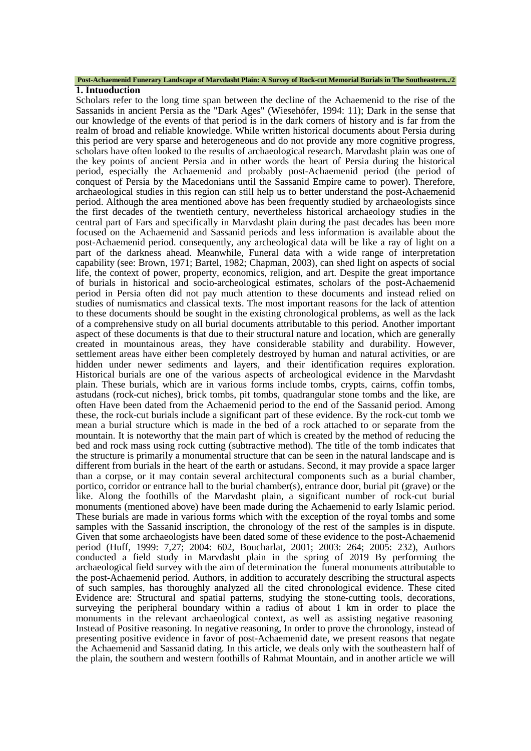#### **Post-Achaemenid Funerary Landscape of Marvdasht Plain: A Survey of Rock-cut Memorial Burials in The Southeastern../2**

#### **1. Intuoduction**

Scholars refer to the long time span between the decline of the Achaemenid to the rise of the Sassanids in ancient Persia as the "Dark Ages" (Wiesehöfer, 1994: 11); Dark in the sense that our knowledge of the events of that period is in the dark corners of history and is far from the realm of broad and reliable knowledge. While written historical documents about Persia during this period are very sparse and heterogeneous and do not provide any more cognitive progress, scholars have often looked to the results of archaeological research. Marvdasht plain was one of the key points of ancient Persia and in other words the heart of Persia during the historical period, especially the Achaemenid and probably post-Achaemenid period (the period of conquest of Persia by the Macedonians until the Sassanid Empire came to power). Therefore, archaeological studies in this region can still help us to better understand the post-Achaemenid period. Although the area mentioned above has been frequently studied by archaeologists since the first decades of the twentieth century, nevertheless historical archaeology studies in the central part of Fars and specifically in Marvdasht plain during the past decades has been more focused on the Achaemenid and Sassanid periods and less information is available about the post-Achaemenid period. consequently, any archeological data will be like a ray of light on a part of the darkness ahead. Meanwhile, Funeral data with a wide range of interpretation capability (see: Brown, 1971; Bartel, 1982; Chapman, 2003), can shed light on aspects of social life, the context of power, property, economics, religion, and art. Despite the great importance of burials in historical and socio-archeological estimates, scholars of the post-Achaemenid period in Persia often did not pay much attention to these documents and instead relied on studies of numismatics and classical texts. The most important reasons for the lack of attention to these documents should be sought in the existing chronological problems, as well as the lack of a comprehensive study on all burial documents attributable to this period. Another important aspect of these documents is that due to their structural nature and location, which are generally created in mountainous areas, they have considerable stability and durability. However, settlement areas have either been completely destroyed by human and natural activities, or are hidden under newer sediments and layers, and their identification requires exploration. Historical burials are one of the various aspects of archeological evidence in the Marvdasht plain. These burials, which are in various forms include tombs, crypts, cairns, coffin tombs, astudans (rock-cut niches), brick tombs, pit tombs, quadrangular stone tombs and the like, are often Have been dated from the Achaemenid period to the end of the Sassanid period. Among these, the rock-cut burials include a significant part of these evidence. By the rock-cut tomb we mean a burial structure which is made in the bed of a rock attached to or separate from the mountain. It is noteworthy that the main part of which is created by the method of reducing the bed and rock mass using rock cutting (subtractive method). The title of the tomb indicates that the structure is primarily a monumental structure that can be seen in the natural landscape and is different from burials in the heart of the earth or astudans. Second, it may provide a space larger than a corpse, or it may contain several architectural components such as a burial chamber, portico, corridor or entrance hall to the burial chamber(s), entrance door, burial pit (grave) or the like. Along the foothills of the Marvdasht plain, a significant number of rock-cut burial monuments (mentioned above) have been made during the Achaemenid to early Islamic period. These burials are made in various forms which with the exception of the royal tombs and some samples with the Sassanid inscription, the chronology of the rest of the samples is in dispute. Given that some archaeologists have been dated some of these evidence to the post-Achaemenid period (Huff, 1999: 7,27; 2004: 602, Boucharlat, 2001; 2003: 264; 2005: 232), Authors conducted a field study in Marvdasht plain in the spring of 2019 By performing the archaeological field survey with the aim of determination the funeral monuments attributable to the post-Achaemenid period. Authors, in addition to accurately describing the structural aspects of such samples, has thoroughly analyzed all the cited chronological evidence. These cited Evidence are: Structural and spatial patterns, studying the stone-cutting tools, decorations, surveying the peripheral boundary within a radius of about 1 km in order to place the monuments in the relevant archaeological context, as well as assisting negative reasoning Instead of Positive reasoning. In negative reasoning, In order to prove the chronology, instead of presenting positive evidence in favor of post-Achaemenid date, we present reasons that negate the Achaemenid and Sassanid dating. In this article, we deals only with the southeastern half of the plain, the southern and western foothills of Rahmat Mountain, and in another article we will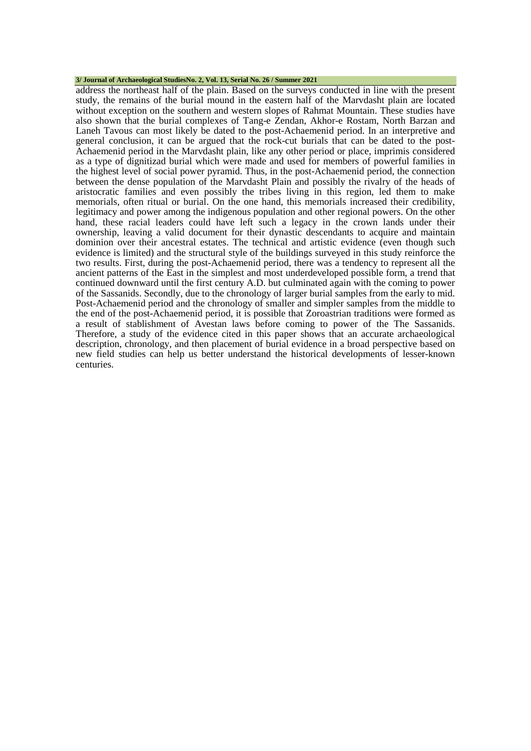#### **3/ Journal of Archaeological StudiesNo. 2, Vol. 13, Serial No. 26 / Summer 2021**

address the northeast half of the plain. Based on the surveys conducted in line with the present study, the remains of the burial mound in the eastern half of the Marvdasht plain are located without exception on the southern and western slopes of Rahmat Mountain. These studies have also shown that the burial complexes of Tang-e Zendan, Akhor-e Rostam, North Barzan and Laneh Tavous can most likely be dated to the post-Achaemenid period. In an interpretive and general conclusion, it can be argued that the rock-cut burials that can be dated to the post-Achaemenid period in the Marvdasht plain, like any other period or place, imprimis considered as a type of dignitizad burial which were made and used for members of powerful families in the highest level of social power pyramid. Thus, in the post-Achaemenid period, the connection between the dense population of the Marvdasht Plain and possibly the rivalry of the heads of aristocratic families and even possibly the tribes living in this region, led them to make memorials, often ritual or burial. On the one hand, this memorials increased their credibility, legitimacy and power among the indigenous population and other regional powers. On the other hand, these racial leaders could have left such a legacy in the crown lands under their ownership, leaving a valid document for their dynastic descendants to acquire and maintain dominion over their ancestral estates. The technical and artistic evidence (even though such evidence is limited) and the structural style of the buildings surveyed in this study reinforce the two results. First, during the post-Achaemenid period, there was a tendency to represent all the ancient patterns of the East in the simplest and most underdeveloped possible form, a trend that continued downward until the first century A.D. but culminated again with the coming to power of the Sassanids. Secondly, due to the chronology of larger burial samples from the early to mid. Post-Achaemenid period and the chronology of smaller and simpler samples from the middle to the end of the post-Achaemenid period, it is possible that Zoroastrian traditions were formed as a result of stablishment of Avestan laws before coming to power of the The Sassanids. Therefore, a study of the evidence cited in this paper shows that an accurate archaeological description, chronology, and then placement of burial evidence in a broad perspective based on new field studies can help us better understand the historical developments of lesser-known centuries.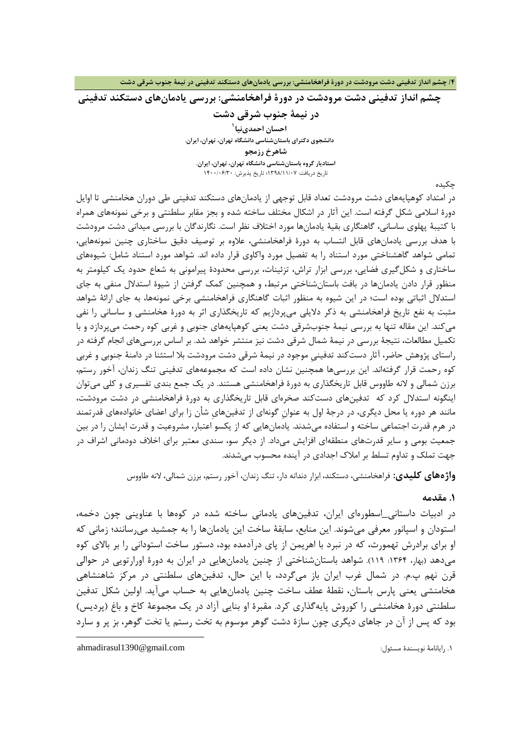**/4 چشم انداز تدفینی دشت مرودشت در دورة فراهخامنشی: بررسی یادمانهاي دستکند تدفینی در نیمۀ جنوب شرقی دشت**

**چشم انداز تدفینی دشت مرودشت در دورة فراهخامنشی: بررسی یادمانهاي دستکند تدفینی**

**در نیمۀ جنوب شرقی دشت [1](#page-3-0) احسان احمدينیا دانشجوي دکتراي باستانشناسی دانشگاه تهران، تهران، ایران. شاهرخ رزمجو استادیار گروه باستانشناسی دانشگاه تهران، تهران، ایران.** تاریخ دریافت: 1398/11/07؛ تاریخ پذیرش: 1400/06/30

چکیده

در امتداد کوهپایههاي دشت مرودشت تعداد قابل توجهی از یادمانهاي دستکند تدفینی طی دوران هخامنشی تا اوایل دورة اسلامی شکل گرفته است. این آثار در اشکال مختلف ساخته شده و بجز مقابر سلطنتی و برخی نمونههاي همراه با کتیبۀ پهلوي ساسانی، گاهنگاري بقیۀ یادمانها مورد اختلاف نظر است. نگارندگان با بررسی میدانی دشت مرودشت با هدف بررسی یادمانهاي قابل انتساب به دورة فراهخامنشی، علاوه بر توصیف دقیق ساختاري چنین نمونههایی، تمامی شواهد گاهشناختی مورد استناد را به تفصیل مورد واکاوي قرار داده اند. شواهد مورد استناد شامل: شیوههاي ساختاري و شکلگیري فضایی، بررسی ابزار تراش، تزئینات، بررسی محدودة پیرامونی به شعاع حدود یک کیلومتر به منظور قرار دادن یادمانها در بافت باستانشناختی مرتبط، و همچنین کمک گرفتن از شیوة استدلال منفی به جاي استدلال اثباتی بوده است؛ در این شیوه به منظور اثبات گاهنگاري فراهخامنشی برخی نمونهها، به جاي ارائۀ شواهد مثبت به نفع تاریخ فراهخامنشی به ذکر دلایلی میپردازیم که تاریخگذاري اثر به دورة هخامنشی و ساسانی را نفی میکند. این مقاله تنها به بررسی نیمۀ جنوبشرقی دشت یعنی کوهپایههاي جنوبی و غربی کوه رحمت میپردازد و با تکمیل مطالعات، نتیجۀ بررسی در نیمۀ شمال شرقی دشت نیز منتشر خواهد شد. بر اساس بررسیهاي انجام گرفته در راستاي پژوهش حاضر، آثار دستکند تدفینیِ موجود در نیمۀ شرقی دشت مرودشت بلا استثنا در دامنۀ جنوبی و غربی کوه رحمت قرار گرفتهاند. این بررسیها همچنین نشان داده است که مجموعههاي تدفینی تنگ زندان، آخور رستم، برزن شمالی و لانه طاووس قابل تاریخگذاري به دورة فراهخامنشی هستند. در یک جمع بندي تفسیري و کلی میتوان اینگونه استدلال کرد که تدفینهاي دستکند صخرهاي قابل تاریخگذاري به دورة فراهخامنشی در دشت مرودشت، مانند هر دوره یا محل دیگري، در درجۀ اول به عنوانِ گونهاي از تدفینهايِ شأن زا براي اعضاي خانوادههاي قدرتمند در هرم قدرت اجتماعی ساخته و استفاده میشدند. یادمانهایی که از یکسو اعتبار، مشروعیت و قدرت ایشان را در بین جمعیت بومی و سایر قدرتهاي منطقهاي افزایش میداد. از دیگر سو، سندي معتبر براي اخلاف دودمانی اشراف در جهت تملک و تداوم تسلط بر املاك اجدادي در آینده محسوب میشدند.

**واژههاي کلیدي:** فراهخامنشی، دستکند، ابزار دندانه دار، تنگ زندان، آخور رستم، برزن شمالی، لانه طاووس

### **.1 مقدمه**

در ادبیات داستانی\_اسطورهاي ایران، تدفینهاي یادمانی ساخته شده در کوهها با عناوینی چون دخمه، استودان و اسپانور معرفی میشوند. این منابع، سابقۀ ساخت این یادمانها را به جمشید میرسانند؛ زمانی که او براي برادرش تهمورث، که در نبرد با اهریمن از پاي درآدمده بود، دستور ساخت استودانی را بر بالاي کوه میدهد (بهار، ۱۳۶۴: ۱۱۹). شواهد باستانشناختی از چنین یادمانهایی در ایران به دورهٔ اورارتویی در حوالی قرن نهم پ.م. در شمال غرب ایران باز میگردد، با این حال، تدفینهاي سلطنتی در مرکز شاهنشاهی هخامنشی یعنی پارس باستان، نقطۀ عطف ساخت چنین یادمانهایی به حساب میآید. اولین شکل تدفین سلطنتی دورة هخامنشی را کوروش پایهگذاري کرد. مقبرة او بنایی آزاد در یک مجموعۀ کاخ و باغ (پردیس) بود که پس از آن در جاهاي دیگري چون سازة دشت گوهر موسوم به تخت رستم یا تخت گوهر، بز پر و سارد

<span id="page-3-0"></span>.1 رایانامۀ نویسندة مسئول: com.gmail@1390ahmadirasul

1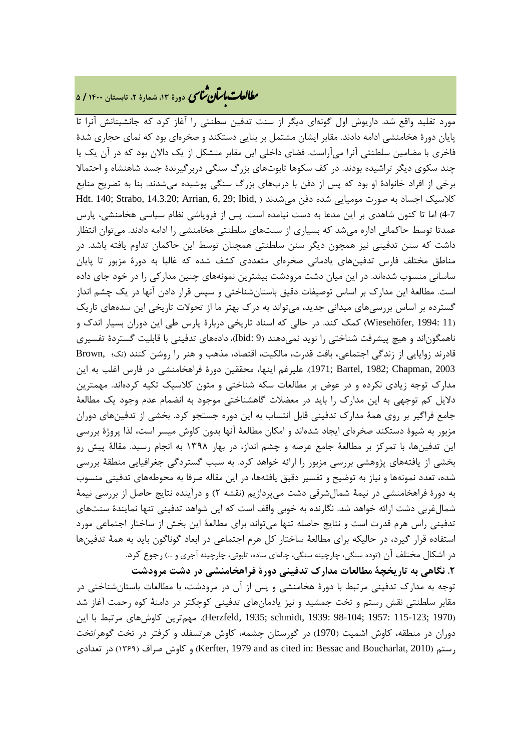# **، دورة ،13 شمارة ،2 تابستان <sup>1400</sup> / <sup>5</sup>** �نا� �طا ی �عات با�تان

مورد تقلید واقع شد. داریوش اول گونهاي دیگر از سنت تدفین سطنتی را آغاز کرد که جانشینانش آنرا تا پایان دورة هخامنشی ادامه دادند. مقابر ایشان مشتمل بر بنایی دستکند و صخرهاي بود که نماي حجاري شدة فاخري با مضامین سلطنتی آنرا میآراست. فضاي داخلی این مقابر متشکل از یک دالان بود که در آن یک یا چند سکوي دیگر تراشیده بودند. در کف سکوها تابوتهاي بزرگ سنگی دربرگیرندة جسد شاهنشاه و احتمالا برخی از افراد خانوادة او بود که پس از دفن با دربهاي بزرگ سنگی پوشیده میشدند. بنا به تصریح منابع کلاسیک اجساد به صورت مومیایی شده دفن میشدند ( ,Hdt. 140; Strabo, 14.3.20; Arrian, 6, 29; Ibid 4-7) اما تا کنون شاهدي بر این مدعا به دست نیامده است. پس از فروپاشی نظام سیاسی هخامنشی، پارس عمدتا توسط حاکمانی اداره میشد که بسیاري از سنتهاي سلطنتی هخامنشی را ادامه دادند. میتوان انتظار داشت که سنن تدفینی نیز همچون دیگر سنن سلطنتی همچنان توسط این حاکمان تداوم یافته باشد. در مناطق مختلف فارس تدفینهاي یادمانی صخرهاي متعددي کشف شده که غالبا به دورة مزبور تا پایان ساسانی منسوب شدهاند. در این میان دشت مرودشت بیشترین نمونههاي چنین مدارکی را در خود جاي داده است. مطالعۀ این مدارك بر اساس توصیفات دقیق باستانشناختی و سپس قرار دادن آنها در یک چشم انداز گسترده بر اساس بررسیهاي میدانی جدید، میتواند به درك بهتر ما از تحولات تاریخی این سدههاي تاریک (11 1994: ,Wiesehöfer (کمک کند. در حالی که اسناد تاریخی دربارة پارس طی این دوران بسیار اندك و ناهمگوناند و هیچ پیشرفت شناختی را نوید نمیدهند (9 :Ibid(، دادههاي تدفینی با قابلیت گستردة تفسیري قادرند زوایایی از زندگی اجتماعی، بافت قدرت، مالکیت، اقتصاد، مذهب و هنر را روشن کنند (نک؛ ,Brown 2003 ,Chapman; 1982 ,Bartel; 1971(. علیرغم اینها، محققین دورة فراهخامنشی در فارس اغلب به این مدارك توجه زیادي نکرده و در عوض بر مطالعات سکه شناختی و متون کلاسیک تکیه کردهاند. مهمترین دلایل کم توجهی به این مدارك را باید در معضلات گاهشناختی موجود به انضمام عدم وجود یک مطالعۀ جامع فراگیر بر روي همۀ مدارك تدفینی قابل انتساب به این دوره جستجو کرد. بخشی از تدفینهاي دوران مزبور به شیوة دستکند صخرهاي ایجاد شدهاند و امکان مطالعۀ آنها بدون کاوش میسر است، لذا پروژة بررسی این تدفینها، با تمرکز بر مطالعۀ جامع عرصه و چشم انداز، در بهار 1398 به انجام رسید. مقالۀ پیش رو بخشی از یافتههاي پژوهشی بررسی مزبور را ارائه خواهد کرد. به سبب گستردگی جغرافیایی منطقۀ بررسی شده، تعدد نمونهها و نیاز به توضیح و تفسیر دقیق یافتهها، در این مقاله صرفا به محوطههاي تدفینی منسوب به دورة فراهخامنشی در نیمۀ شمالشرقی دشت میپردازیم (نقشه 2) و درآینده نتایج حاصل از بررسی نیمۀ شمالغربی دشت ارائه خواهد شد. نگارنده به خوبی واقف است که این شواهد تدفینی تنها نمایندة سنتهاي تدفینی راس هرم قدرت است و نتایج حاصله تنها میتواند براي مطالعۀ این بخش از ساختار اجتماعی مورد استفاده قرار گیرد، در حالیکه براي مطالعۀ ساختار کل هرم اجتماعی در ابعاد گوناگون باید به همۀ تدفینها در اشکال مختلف آن (توده سنگی، چارچینه سنگی، چالهاي ساده، تابوتی، چارچینه آجري و ...) رجوع کرد.

**.2 نگاهی به تاریخچۀ مطالعات مدارك تدفینی دورة فراهخامنشی در دشت مرودشت** توجه به مدارك تدفینی مرتبط با دورة هخامنشی و پس از آن در مرودشت، با مطالعات باستانشناختی در مقابر سلطنتی نقش رستم و تخت جمشید و نیز یادمانهاي تدفینی کوچکتر در دامنۀ کوه رحمت آغاز شد (1970 ;Herzfeld, 1935; schmidt, 1939: 98-104; 1957: 115-123). مهمترین کاوشهای مرتبط با این دوران در منطقه، کاوش اشمیت (1970) در گورستان چشمه، کاوش هرتسفلد و کرفتر در تخت گوهر/تخت تعدادي در) 1369 (صراف کاوش و) Kerfter, 1979 and as cited in: Bessac and Boucharlat, 2010) رستم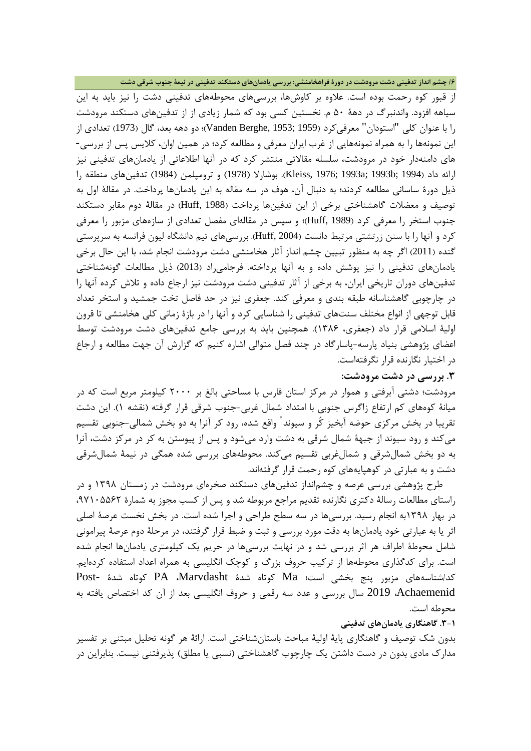**/6 چشم انداز تدفینی دشت مرودشت در دورة فراهخامنشی: بررسی یادمانهاي دستکند تدفینی در نیمۀ جنوب شرقی دشت**

از قبور کوه رحمت بوده است. علاوه بر کاوشها، بررسیهاي محوطههاي تدفینی دشت را نیز باید به این سیاهه افزود. واندنبرگ در دهۀ 50 م. نخستین کسی بود که شمار زیادي از از تدفینهاي دستکند مرودشت را با عنوان کلی "استودان" معرفیکرد (1959 ;Vanden Berghe, 1973)؛ دو دهه بعد، گال (1973) تعدادی از این نمونهها را به همراه نمونههایی از غرب ایران معرفی و مطالعه کرد؛ در همین اوان، کلایس پس از بررسی- هاي دامنهدار خود در مرودشت، سلسله مقالاتی منتشر کرد که در آنها اطلاعاتی از یادمانهاي تدفینی نیز ارائه داد (1994 ;b1993; a1993; 1976 ,Kleiss(. بوشارلا (1978) و ترومپلمن (1984) تدفینهاي منطقه را ذیل دورة ساسانی مطالعه کردند؛ به دنبال آن، هوف در سه مقاله به این یادمانها پرداخت. در مقالۀ اول به توصیف و معضلات گاهشناختی برخی از این تدفینها پرداخت (1988 ,Huff (در مقالۀ دوم مقابر دستکند جنوب استخر را معرفی کرد (1989 ,Huff(؛ و سپس در مقالهاي مفصل تعدادي از سازههاي مزبور را معرفی کرد و آنها را با سنن زرتشتی مرتبط دانست (2004 ,Huff(. بررسیهاي تیم دانشگاه لیون فرانسه به سرپرستی گنده (2011) اگر چه به منظور تبیین چشم انداز آثار هخامنشی دشت مرودشت انجام شد، با این حال برخی یادمانهاي تدفینی را نیز پوشش داده و به آنها پرداخته. فرجامیراد (2013) ذیل مطالعات گونهشناختی تدفینهاي دوران تاریخی ایران، به برخی از آثار تدفینی دشت مرودشت نیز ارجاع داده و تلاش کرده آنها را در چارچوبی گاهشناسانه طبقه بندي و معرفی کند. جعفري نیز در حد فاصل تخت جمشید و استخر تعداد قابل توجهی از انواع مختلف سنتهاي تدفینی را شناسایی کرد و آنها را در بازة زمانی کلی هخامنشی تا قرون اولیۀ اسلامی قرار داد (جعفري، 1386). همچنین باید به بررسی جامع تدفینهاي دشت مرودشت توسط اعضاي پژوهشی بنیاد پارسه-پاسارگاد در چند فصل متوالی اشاره کنیم که گزارش آن جهت مطالعه و ارجاع در اختیار نگارنده قرار نگرفتهاست.

### **.3 بررسی در دشت مرودشت:**

مرودشت؛ دشتی آبرفتی و هموار در مرکز استان فارس با مساحتی بالغ بر 2000 کیلومتر مربع است که در میانۀ کوههاي کم ارتفاع زاگرس جنوبی با امتداد شمال غربی-جنوب شرقی قرار گرفته (نقشه 1). این دشت تقریبا در بخش مرکزي حوضه آبخیز کُر و سیوند ً واقع شده، رود کر آنرا به دو بخش شمالی-جنوبی تقسیم میکند و رود سیوند از جبهۀ شمال شرقی به دشت وارد میشود و پس از پیوستن به کر در مرکز دشت، آنرا به دو بخش شمالشرقی و شمالغربی تقسیم میکند. محوطههاي بررسی شده همگی در نیمۀ شمالشرقی دشت و به عبارتی در کوهپایههاي کوه رحمت قرار گرفتهاند.

طرح پژوهشی بررسی عرصه و چشمانداز تدفینهاي دستکند صخرهاي مرودشت در زمستان 1398 و در راستاي مطالعات رسالۀ دکتري نگارنده تقدیم مراجع مربوطه شد و پس از کسب مجوز به شمارة ،97105562 در بهار 1398به انجام رسید. بررسیها در سه سطح طراحی و اجرا شده است. در بخش نخست عرصۀ اصلی اثر یا به عبارتی خود یادمانها به دقت مورد بررسی و ثبت و ضبط قرار گرفتند، در مرحلۀ دوم عرصۀ پیرامونی شامل محوطۀ اطراف هر اثر بررسی شد و در نهایت بررسیها در حریم یک کیلومتري یادمانها انجام شده است. براي کدگذاري محوطهها از ترکیب حروف بزرگ و کوچک انگلیسی به همراه اعداد استفاده کردهایم. کد/شناسههاي مزبور پنج بخشی است؛ Ma کوتاه شدة Marvdasht، PA کوتاه شدة -Post Achaemenid، 2019 سال بررسی و عدد سه رقمی و حروف انگلیسی بعد از آن کد اختصاص یافته به محوطه است.

### **.3-1 گاهنگاري یادمانهاي تدفینی**

بدون شک توصیف و گاهنگاري پایۀ اولیۀ مباحث باستانشناختی است. ارائۀ هر گونه تحلیل مبتنی بر تفسیر مدارك مادي بدون در دست داشتن یک چارچوب گاهشناختی (نسبی یا مطلق) پذیرفتنی نیست. بنابراین در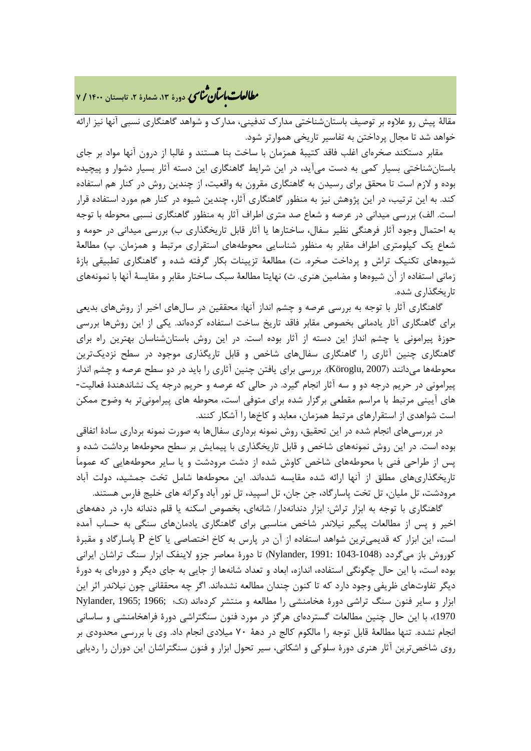# **، دورة ،13 شمارة ،2 تابستان <sup>1400</sup> / <sup>7</sup>** �نا� �طا ی �عات با�تان

مقالۀ پیش رو علاوه بر توصیف باستانشناختی مدارك تدفینی، مدارك و شواهد گاهنگاري نسبی آنها نیز ارائه خواهد شد تا مجال پرداختن به تفاسیر تاریخی هموارتر شود.

مقابر دستکند صخرهاي اغلب فاقد کتیبۀ همزمان با ساخت بنا هستند و غالبا از درون آنها مواد بر جاي باستانشناختی بسیار کمی به دست میآید، در این شرایط گاهنگاري این دسته آثار بسیار دشوار و پیچیده بوده و لازم است تا محقق براي رسیدن به گاهنگاري مقرون به واقعیت، از چندین روش در کنار هم استفاده کند. به این ترتیب، در این پژوهش نیز به منظور گاهنگاري آثار، چندین شیوه در کنار هم مورد استفاده قرار است. الف) بررسی میدانی در عرصه و شعاع صد متري اطراف آثار به منظور گاهنگاري نسبی محوطه با توجه به احتمال وجود آثار فرهنگی نظیر سفال، ساختارها یا آثار قابل تاریخگذاري ب) بررسی میدانی در حومه و شعاع یک کیلومتري اطراف مقابر به منظور شناسایی محوطههاي استقراري مرتبط و همزمان. پ) مطالعۀ شیوههاي تکنیک تراش و پرداخت صخره. ت) مطالعۀ تزیینات بکار گرفته شده و گاهنگاري تطبیقی بازة زمانی استفاده از آن شیوهها و مضامین هنري. ث) نهایتا مطالعۀ سبک ساختار مقابر و مقایسۀ آنها با نمونههاي تاریخگذاري شده.

گاهنگاري آثار با توجه به بررسی عرصه و چشم انداز آنها: محققین در سالهاي اخیر از روشهاي بدیعی براي گاهنگاري آثار یادمانی بخصوص مقابر فاقد تاریخ ساخت استفاده کردهاند. یکی از این روشها بررسی حوزة پیرامونی یا چشم انداز این دسته از آثار بوده است. در این روش باستانشناسان بهترین راه براي گاهنگاري چنین آثاري را گاهنگاري سفالهاي شاخص و قابل تاریگذاري موجود در سطح نزدیکترین محوطهها میدانند (2007 ,Köroglu(. بررسی براي یافتن چنین آثاري را باید در دو سطح عرصه و چشم انداز پیرامونی در حریم درجه دو و سه آثار انجام گیرد. در حالی که عرصه و حریم درجه یک نشاندهندة فعالیت- هاي آیینی مرتبط با مراسم مقطعی برگزار شده براي متوفی است، محوطه هاي پیرامونیتر به وضوح ممکن است شواهدي از استقرارهاي مرتبط همزمان، معابد و کاخها را آشکار کنند.

در بررسیهاي انجام شده در این تحقیق، روش نمونه برداري سفالها به صورت نمونه برداري سادة اتفاقی بوده است. در این روش نمونههاي شاخص و قابل تاریخگذاري با پیمایش بر سطح محوطهها برداشت شده و پس از طراحی فنی با محوطههاي شاخص کاوش شده از دشت مرودشت و یا سایر محوطههایی که عموماَ تاریخگذاريهاي مطلق از آنها ارائه شده مقایسه شدهاند. این محوطهها شامل تخت جمشید، دولت آباد مرودشت، تل ملیان، تل تخت پاسارگاد، جن جان، تل اسپید، تل نور آباد وکرانه هاي خلیج فارس هستند.

گاهنگاري با توجه به ابزار تراش: ابزار دندانهدار/ شانهاي، بخصوص اسکنه یا قلم دندانه دار، در دهههاي اخیر و پس از مطالعات پیگیر نیلاندر شاخص مناسبی براي گاهنگاري یادمانهاي سنگی به حساب آمده است، این ابزار که قدیمیترین شواهد استفاده از آن در پارس به کاخ اختصاصی یا کاخ P پاسارگاد و مقبرة کوروش باز میگردد (1043-1048 1991: ,Nylander (تا دورة معاصر جزو لاینفک ابزار سنگ تراشان ایرانی بوده است، با این حال چگونگی استفاده، اندازه، ابعاد و تعداد شانهها از جایی به جاي دیگر و دورهاي به دورة دیگر تفاوتهاي ظریفی وجود دارد که تا کنون چندان مطالعه نشدهاند. اگر چه محققانی چون نیلاندر اثر این ابزار و سایر فنون سنگ تراشی دورة هخامنشی را مطالعه و منتشر کردهاند (نک؛ ;1966 ;1965 ,Nylander 1970)، با این حال چنین مطالعات گستردهاي هرگز در مورد فنون سنگتراشی دورة فراهخامنشی و ساسانی انجام نشده. تنها مطالعۀ قابل توجه را مالکوم کالج در دهۀ 70 میلادي انجام داد. وي با بررسی محدودي بر روي شاخصترین آثار هنري دورة سلوکی و اشکانی، سیر تحول ابزار و فنون سنگتراشان این دوران را ردیابی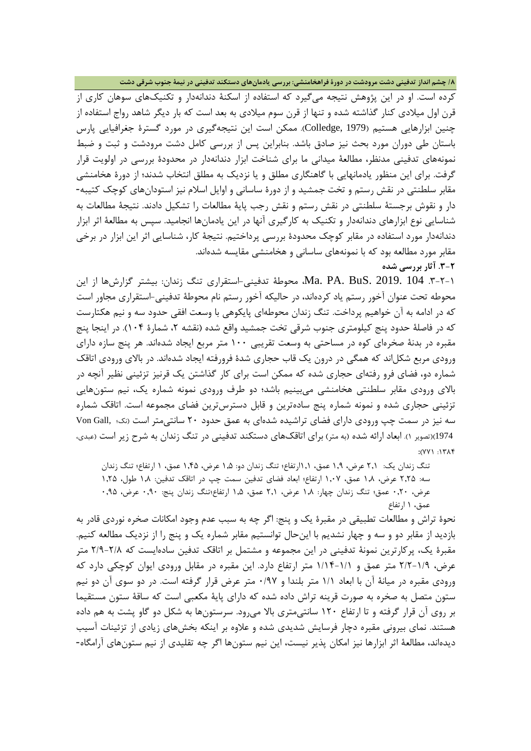**/8 چشم انداز تدفینی دشت مرودشت در دورة فراهخامنشی: بررسی یادمانهاي دستکند تدفینی در نیمۀ جنوب شرقی دشت**

کرده است. او در این پژوهش نتیجه میگیرد که استفاده از اسکنۀ دندانهدار و تکنیکهاي سوهان کاري از قرن اول میلادي کنار گذاشته شده و تنها از قرن سوم میلادي به بعد است که بار دیگر شاهد رواج استفاده از چنین ابزارهایی هستیم (1979 ,Colledge(. ممکن است این نتیجهگیري در مورد گسترة جغرافیایی پارس باستان طی دوران مورد بحث نیز صادق باشد. بنابراین پس از بررسی کامل دشت مرودشت و ثبت و ضبط نمونههاي تدفینی مدنظر، مطالعۀ میدانی ما براي شناخت ابزار دندانهدار در محدودة بررسی در اولویت قرار گرفت. براي این منظور یادمانهایی با گاهنگاري مطلق و یا نزدیک به مطلق انتخاب شدند؛ از دورة هخامنشی مقابر سلطنتی در نقش رستم و تخت جمشید و از دورة ساسانی و اوایل اسلام نیز استودانهاي کوچک کتیبه- دار و نقوش برجستۀ سلطنتی در نقش رستم و نقش رجب پایۀ مطالعات را تشکیل دادند. نتیجۀ مطالعات به شناسایی نوع ابزارهاي دندانهدار و تکنیک به کارگیري آنها در این یادمانها انجامید. سپس به مطالعۀ اثر ابزار دندانهدار مورد استفاده در مقابر کوچک محدودة بررسی پرداختیم. نتیجۀ کار، شناسایی اثر این ابزار در برخی مقابر مورد مطالعه بود که با نمونههاي ساسانی و هخامنشی مقایسه شدهاند. **.3-2 آثار بررسی شده**

.3-2-1 104 2019. .BuS .PA .Ma، محوطۀ تدفینی-استقراري تنگ زندان: بیشتر گزارشها از این محوطه تحت عنوان آخور رستم یاد کردهاند، در حالیکه آخور رستم نام محوطۀ تدفینی-استقراري مجاور است که در ادامه به آن خواهیم پرداخت. تنگ زندان محوطهاي پایکوهی با وسعت افقی حدود سه و نیم هکتارست که در فاصلۀ حدود پنج کیلومتری جنوب شرقی تخت جمشید واقع شده (نقشه ۲، شمارۀ ۱۰۴). در اینجا پنج مقبره در بدنۀ صخرهاي کوه در مساحتی به وسعت تقریبی 100 متر مربع ایجاد شدهاند. هر پنج سازه داراي ورودي مربع شکلاند که همگی در درون یک قاب حجاري شدة فرورفته ایجاد شدهاند. در بالاي ورودي اتاقک شماره دو، فضاي فرو رفتهاي حجاري شده که ممکن است براي کار گذاشتن یک قرنیز تزئینی نظیر آنچه در بالاي ورودي مقابر سلطنتی هخامنشی میبینیم باشد؛ دو طرف ورودي نمونه شماره یک، نیم ستونهایی تزئینی حجاري شده و نمونه شماره پنج سادهترین و قابل دسترسترین فضاي مجموعه است. اتاقک شماره سه نیز در سمت چپ ورودي داراي فضاي تراشیده شدهاي به عمق حدود 20 سانتیمتر است (نک؛ ,Gall Von 1974)(تصویر 1). ابعاد ارائه شده (به متر) براي اتاقکهاي دستکند تدفینی در تنگ زندان به شرح زیر است (عبدي، :(٧٧١ : ١٣٨۴

تنگ زندان یک: 2,1 عرض، 1,9 عمق، 1,1ارتفاع؛ تنگ زندان دو: 1,5 عرض، 1,45 عمق، 1 ارتفاع؛ تنگ زندان سه: 2,25 عرض، 1,8 عمق، 1,07 ارتفاع؛ ابعاد فضاي تدفین سمت چپ در اتاقک تدفین: 1,8 طول، 1,25 عرض، 0,20 عمق؛ تنگ زندان چهار: 1,8 عرض، 2,1 عمق، 1,5 ارتفاع؛تنگ زندان پنج: 0,90 عرض، 0,95 عمق، 1 ارتفاع

نحوة تراش و مطالعات تطبیقی در مقبرة یک و پنج: اگر چه به سبب عدم وجود امکانات صخره نوردي قادر به بازدید از مقابر دو و سه و چهار نشدیم با اینحال توانستیم مقابر شماره یک و پنج را از نزدیک مطالعه کنیم. مقبرة یک، پرکارترین نمونۀ تدفینی در این مجموعه و مشتمل بر اتاقک تدفین سادهایست که 2/9-2/8 متر عرض، 2/2-1/9 متر عمق و 1/14-1/1 متر ارتفاع دارد. این مقبره در مقابل ورودي ایوان کوچکی دارد که ورودي مقبره در میانۀ آن با ابعاد 1/1 متر بلندا و 0/97 متر عرض قرار گرفته است. در دو سوي آن دو نیم ستون متصل به صخره به صورت قرینه تراش داده شده که داراي پایۀ مکعبی است که ساقۀ ستون مستقیما بر روي آن قرار گرفته و تا ارتفاع 120 سانتیمتري بالا میرود. سرستونها به شکل دو گاو پشت به هم داده هستند. نماي بیرونی مقبره دچار فرسایش شدیدي شده و علاوه بر اینکه بخشهاي زیادي از تزئینات آسیب دیدهاند، مطالعۀ اثر ابزارها نیز امکان پذیر نیست، این نیم ستونها اگر چه تقلیدي از نیم ستونهاي آرامگاه-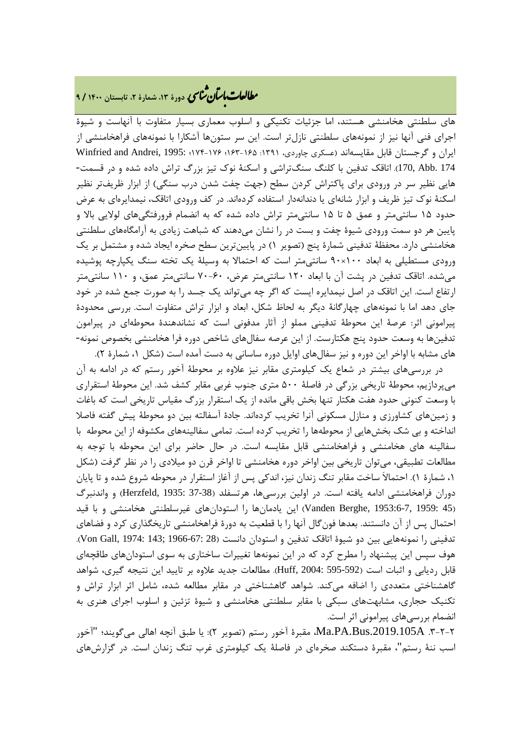### **، دورة ،13 شمارة ،2 تابستان <sup>1400</sup> / <sup>9</sup>** �نا� �طا ی �عات با�تان

هاي سلطنتی هخامنشی هستند، اما جزئیات تکنیکی و اسلوب معماري بسیار متفاوت با آنهاست و شیوة اجراي فنی آنها نیز از نمونههاي سلطنتی نازلتر است. این سر ستونها آشکارا با نمونههاي فراهخامنشی از ایران و گرجستان قابل مقایسهاند (عسکری چاوردی، ۱۳۹۱: ۱۶۵-۱۶۳؛ ۱۷۶-۱۷۴؛ Winfried and Andrei, 1995: 174 .Abb 170,(. اتاقک تدفین با کلنگ سنگتراشی و اسکنۀ نوك تیز بزرگ تراش داده شده و در قسمت- هایی نظیر سر در ورودي براي پاکتراش کردن سطح (جهت چفت شدن درب سنگی) از ابزار ظریفتر نظیر اسکنۀ نوك تیز ظریف و ابزار شانهاي یا دندانهدار استفاده کردهاند. در کف ورودي اتاقک، نیمدایرهاي به عرض حدود 15 سانتیمتر و عمق 5 تا 15 سانتیمتر تراش داده شده که به انضمام فرورفتگیهاي لولایی بالا و پایین هر دو سمت ورودي شیوة چفت و بست در را نشان میدهند که شباهت زیادي به آرامگاههاي سلطنتی هخامنشی دارد. محفظۀ تدفینی شمارة پنج (تصویر 1) در پایینترین سطح صخره ایجاد شده و مشتمل بر یک ورودي مستطیلی به ابعاد 100×90 سانتیمتر است که احتمالا به وسیلۀ یک تخته سنگ یکپارچه پوشیده میشده. اتاقک تدفین در پشت آن با ابعاد 120 سانتیمتر عرض، 70-60 سانتیمتر عمق، و 110 سانتیمتر ارتفاع است. این اتاقک در اصل نیمدایره ایست که اگر چه میتواند یک جسد را به صورت جمع شده در خود جاي دهد اما با نمونههاي چهارگانۀ دیگر به لحاظ شکل، ابعاد و ابزار تراش متفاوت است. بررسی محدودة پیرامونی اثر: عرصۀ این محوطۀ تدفینی مملو از آثار مدفونی است که نشاندهندة محوطهاي در پیرامون تدفینها به وسعت حدود پنج هکتارست. از این عرصه سفالهاي شاخص دوره فرا هخامنشی بخصوص نمونه- هاي مشابه با اواخر این دوره و نیز سفالهاي اوایل دوره ساسانی به دست آمده است (شکل ،1 شمارة 2).

در بررسیهاي بیشتر در شعاع یک کیلومتري مقابر نیز علاوه بر محوطۀ آخور رستم که در ادامه به آن میپردازیم، محوطۀ تاریخی بزرگی در فاصلۀ 500 متري جنوب غربی مقابر کشف شد. این محوطۀ استقراري با وسعت کنونی حدود هفت هکتار تنها بخش باقی مانده از یک استقرار بزرگ مقیاس تاریخی است که باغات و زمینهاي کشاورزي و منازل مسکونی آنرا تخریب کردهاند. جادة آسفالته بین دو محوطۀ پیش گفته فاصلا انداخته و بی شک بخشهایی از محوطهها را تخریب کرده است. تمامی سفالینههاي مکشوفه از این محوطه با سفالینه هاي هخامنشی و فراهخامنشی قابل مقایسه است. در حال حاضر براي این محوطه با توجه به مطالعات تطبیقی، میتوان تاریخی بین اواخر دوره هخامنشی تا اواخر قرن دو میلادي را در نظر گرفت (شکل ،1 شمارة 1). احتمالاَ ساخت مقابر تنگ زندان نیز، اندکی پس از آغاز استقرار در محوطه شروع شده و تا پایان دوران فراهخامنشی ادامه یافته است. در اولین بررسیها، هرتسفلد (37-38 1935: ,Herzfeld (و واندنبرگ (45 1959: 1953:6-7, ,Berghe Vanden (این یادمانها را استودانهاي غیرسلطنتی هخامنشی و با قید احتمال پس از آن دانستند. بعدها فونگال آنها را با قطعیت به دورة فراهخامنشی تاریخگذاري کرد و فضاهاي تدفینی را نمونههایی بین دو شیوهٔ اتاقک تدفین و استودان دانست (28 :67-1966 1974: 143; Von Gall, 1974: هوف سپس این پیشنهاد را مطرح کرد که در این نمونهها تغییرات ساختاري به سوي استودانهاي طاقچهاي قابل ردیابی و اثبات است (595-592 2004: ,Huff(. مطالعات جدید علاوه بر تایید این نتیجه گیري، شواهد گاهشناختی متعددي را اضافه میکند. شواهد گاهشناختی در مقابر مطالعه شده، شامل اثر ابزار تراش و تکنیک حجاري، مشابهتهاي سبکی با مقابر سلطنتی هخامنشی و شیوة تزئین و اسلوب اجراي هنري به انضمام بررسیهاي پیرامونی اثر است.

.3-2-2 A.2019.105Bus.PA.Ma، مقبرة آخور رستم (تصویر 2): یا طبق آنچه اهالی میگویند؛ "آخور اسب ننۀ رستم"، مقبرة دستکند صخرهاي در فاصلۀ یک کیلومتري غرب تنگ زندان است. در گزارشهاي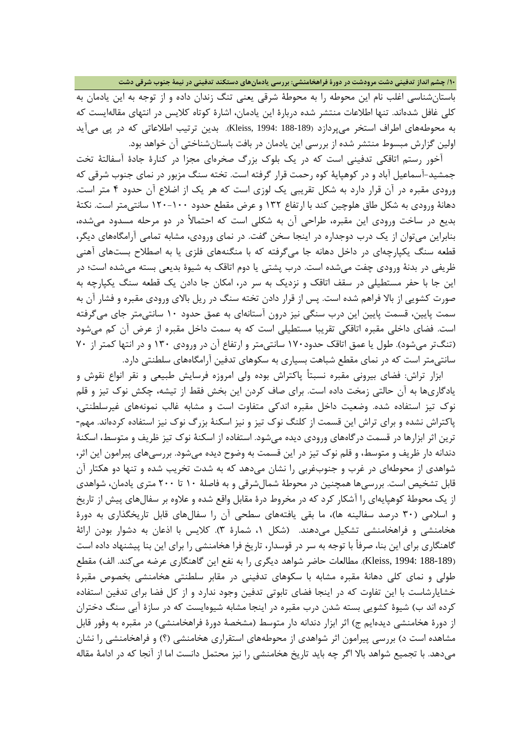**/10 چشم انداز تدفینی دشت مرودشت در دورة فراهخامنشی: بررسی یادمانهاي دستکند تدفینی در نیمۀ جنوب شرقی دشت**

باستانشناسی اغلب نام این محوطه را به محوطۀ شرقی یعنی تنگ زندان داده و از توجه به این یادمان به کلی غافل شدهاند. تنها اطلاعات منتشر شده دربارة این یادمان، اشارة کوتاه کلایس در انتهاي مقالهایست که به محوطههاي اطراف استخر میپردازد (188-189 1994: ,Kleiss(. بدین ترتیب اطلاعاتی که در پی میآید اولین گزارش مبسوط منتشر شده از بررسی این یادمان در بافت باستانشناختی آن خواهد بود.

آخور رستم اتاقکی تدفینی است که در یک بلوك بزرگ صخرهاي مجزا در کنارة جادة آسفالتۀ تخت جمشید-آسماعیل آباد و در کوهپایۀ کوه رحمت قرار گرفته است. تخته سنگ مزبور در نماي جنوب شرقی که ورودي مقبره در آن قرار دارد به شکل تقریبی یک لوزي است که هر یک از اضلاع آن حدود 4 متر است. دهانۀ ورودي به شکل طاق هلوچین کند با ارتفاع 132 و عرض مقطع حدود 120-100 سانتیمتر است. نکتۀ بدیع در ساخت ورودي این مقبره، طراحی آن به شکلی است که احتمالأ در دو مرحله مسدود میشده، بنابراین میتوان از یک درب دوجداره در اینجا سخن گفت. در نماي ورودي، مشابه تمامی آرامگاههاي دیگر، قطعه سنگ یکپارچهاي در داخل دهانه جا میگرفته که با منگنههاي فلزي یا به اصطلاح بستهاي آهنی ظریفی در بدنۀ ورودي چفت میشده است. درب پشتی یا دوم اتاقک به شیوة بدیعی بسته میشده است؛ در این جا با حفر مستطیلی در سقف اتاقک و نزدیک به سر در، امکان جا دادن یک قطعه سنگ یکپارچه به صورت کشویی از بالا فراهم شده است. پس از قرار دادن تخته سنگ در ریل بالاي ورودي مقبره و فشار آن به سمت پایین، قسمت پایین این درب سنگی نیز درون آستانهاي به عمق حدود 10 سانتیمتر جاي میگرفته است. فضاي داخلی مقبره اتاقکی تقریبا مستطیلی است که به سمت داخل مقبره از عرض آن کم میشود (تنگتر میشود). طول یا عمق اتاقک حدود170 سانتیمتر و ارتفاع آن در ورودي 130 و در انتها کمتر از 70 سانتیمتر است که در نماي مقطع شباهت بسیاري به سکوهاي تدفین آرامگاههاي سلطنتی دارد.

ابزار تراش: فضاي بیرونی مقبره نسبتأ پاکتراش بوده ولی امروزه فرسایش طبیعی و نقر انواع نقوش و یادگاريها به آن حالتی زمخت داده است. براي صاف کردن این بخش فقط از تیشه، چکش نوك تیز و قلم نوك تیز استفاده شده. وضعیت داخل مقبره اندکی متفاوت است و مشابه غالب نمونههاي غیرسلطنتی، پاکتراش نشده و براي تراش این قسمت از کلنگ نوك تیز و نیز اسکنۀ بزرگ نوك نیز استفاده کردهاند. مهم- ترین اثر ابزارها در قسمت درگاههاي ورودي دیده میشود. استفاده از اسکنۀ نوك تیز ظریف و متوسط، اسکنۀ دندانه دار ظریف و متوسط، و قلم نوك تیز در این قسمت به وضوح دیده میشود. بررسیهاي پیرامون این اثر، شواهدي از محوطهاي در غرب و جنوبغربی را نشان میدهد که به شدت تخریب شده و تنها دو هکتار آن قابل تشخیص است. بررسیها همچنین در محوطۀ شمالشرقی و به فاصلۀ 10 تا 200 متري یادمان، شواهدي از یک محوطۀ کوهپایهاي را آشکار کرد که در مخروط درة مقابل واقع شده و علاوه بر سفالهاي پیش از تاریخ و اسلامی (30 درصد سفالینه ها)، ما بقی یافتههاي سطحی آن را سفالهاي قابل تاریخگذاري به دورة هخامنشی و فراهخامنشی تشکیل میدهند. (شکل ،1 شمارة 3). کلایس با اذعان به دشوار بودن ارائۀ گاهنگاري براي این بنا، صرفأ با توجه به سر در قوسدار، تاریخ فرا هخامنشی را براي این بنا پیشنهاد داده است (188-189 1994: ,Kleiss(. مطالعات حاضر شواهد دیگري را به نفع این گاهنگاري عرضه میکند. الف) مقطع طولی و نماي کلی دهانۀ مقبره مشابه با سکوهاي تدفینی در مقابر سلطنتی هخامنشی بخصوص مقبرة خشایارشاست با این تفاوت که در اینجا فضاي تابوتی تدفین وجود ندارد و از کل فضا براي تدفین استفاده کرده اند ب) شیوة کشویی بسته شدن درب مقبره در اینجا مشابه شیوهایست که در سازة آبی سنگ دختران از دورة هخامنشی دیدهایم ج) اثر ابزار دندانه دار متوسط (مشخصۀ دورة فراهخامنشی) در مقبره به وفور قابل مشاهده است د) بررسی پیرامون اثر شواهدي از محوطههاي استقراري هخامنشی (؟) و فراهخامنشی را نشان میدهد. با تجمیع شواهد بالا اگر چه باید تاریخ هخامنشی را نیز محتمل دانست اما از آنجا که در ادامۀ مقاله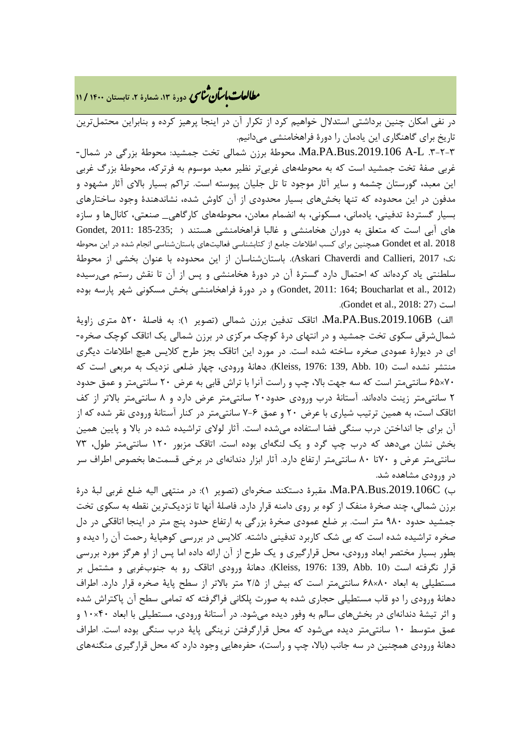## **، دورة ،13 شمارة ،2 تابستان <sup>1400</sup> / <sup>11</sup>** �نا� �طا ی �عات با�تان

در نفی امکان چنین برداشتی استدلال خواهیم کرد از تکرار آن در اینجا پرهیز کرده و بنابراین محتملترین تاریخ براي گاهنگاري این یادمان را دورة فراهخامنشی میدانیم.

.3-2-3 L-A .2019.106Bus.PA.Ma، محوطۀ برزن شمالی تخت جمشید: محوطۀ بزرگی در شمال- غربی صفۀ تخت جمشید است که به محوطههاي غربیتر نظیر معبد موسوم به فرترکه، محوطۀ بزرگ غربی این معبد، گورستان چشمه و سایر آثار موجود تا تل جلیان پیوسته است. تراکم بسیار بالاي آثار مشهود و مدفون در این محدوده که تنها بخشهاي بسیار محدودي از آن کاوش شده، نشاندهندة وجود ساختارهاي بسیار گستردة تدفینی، یادمانی، مسکونی، به انضمام معادن، محوطههاي کارگاهی\_ صنعتی، کانالها و سازه هاي آبی است که متعلق به دوران هخامنشی و غالبا فراهخامنشی هستند ( ;185-235 2011: ,Gondet 2018 .al et Gondet همچنین براي کسب اطلاعات جامع از کتابشناسی فعالیتهاي باستانشناسی انجام شده در این محوطه نک؛ 2017 ,Callieri and Chaverdi Askari(. باستانشناسان از این محدوده با عنوان بخشی از محوطۀ سلطنتی یاد کردهاند که احتمال دارد گسترة آن در دورة هخامنشی و پس از آن تا نقش رستم میرسیده (2012 .Gondet, 2011: 164; Boucharlat et al) و در دورهٔ فراهخامنشی بخش مسکونی شهر پارسه بوده .(Gondet et al., 2018: 27) است

الف) B.2019.106Bus.PA.Ma، اتاقک تدفین برزن شمالی (تصویر 1): به فاصلۀ 520 متري زاویۀ شمالشرقی سکوي تخت جمشید و در انتهاي درة کوچک مرکزي در برزن شمالی یک اتاقک کوچک صخره- اي در دیوارة عمودي صخره ساخته شده است. در مورد این اتاقک بجز طرح کلایس هیچ اطلاعات دیگري منتشر نشده است (10 .Abb 139, 1976: ,Kleiss(. دهانۀ ورودي، چهار ضلعی نزدیک به مربعی است که 70×65 سانتیمتر است که سه جهت بالا، چپ و راست آنرا با تراش قابی به عرض 20 سانتیمتر و عمق حدود 2 سانتیمتر زینت دادهاند. آستانۀ درب ورودي حدود20 سانتیمتر عرض دارد و 8 سانتیمتر بالاتر از کف اتاقک است، به همین ترتیب شیاري با عرض 20 و عمق 7-6 سانتیمتر در کنار آستانۀ ورودي نقر شده که از آن براي جا انداختن درب سنگی فضا استفاده میشده است. آثار لولاي تراشیده شده در بالا و پایین همین بخش نشان میدهد که درب چپ گرد و یک لنگهاي بوده است. اتاقک مزبور 120 سانتیمتر طول، 73 سانتیمتر عرض و 70تا 80 سانتیمتر ارتفاع دارد. آثار ابزار دندانهاي در برخی قسمتها بخصوص اطراف سر در ورودي مشاهده شد.

ب) C.2019.106Bus.PA.Ma، مقبرة دستکند صخرهاي (تصویر 1): در منتهی الیه ضلع غربی لبۀ درة برزن شمالی، چند صخرة منفک از کوه بر روي دامنه قرار دارد. فاصلۀ آنها تا نزدیکترین نقطه به سکوي تخت جمشید حدود 980 متر است. بر ضلع عمودي صخرة بزرگی به ارتفاع حدود پنج متر در اینجا اتاقکی در دل صخره تراشیده شده است که بی شک کاربرد تدفینی داشته. کلایس در بررسی کوهپایۀ رحمت آن را دیده و بطور بسیار مختصر ابعاد ورودي، محل قرارگیري و یک طرح از آن ارائه داده اما پس از او هرگز مورد بررسی قرار نگرفته است (10 .Abb 139, 1976: ,Kleiss(. دهانۀ ورودي اتاقک رو به جنوبغربی و مشتمل بر مستطیلی به ابعاد 80×68 سانتیمتر است که بیش از 2/5 متر بالاتر از سطح پایۀ صخره قرار دارد. اطراف دهانۀ ورودي را دو قاب مستطیلی حجاري شده به صورت پلکانی فراگرفته که تمامی سطح آن پاکتراش شده و اثر تیشۀ دندانهاي در بخشهاي سالم به وفور دیده میشود. در آستانۀ ورودي، مستطیلی با ابعاد 40×10 و عمق متوسط 10 سانتیمتر دیده میشود که محل قرارگرفتن نرینگی پایۀ درب سنگی بوده است. اطراف دهانۀ ورودي همچنین در سه جانب (بالا، چپ و راست)، حفرههایی وجود دارد که محل قرارگیري منگنههاي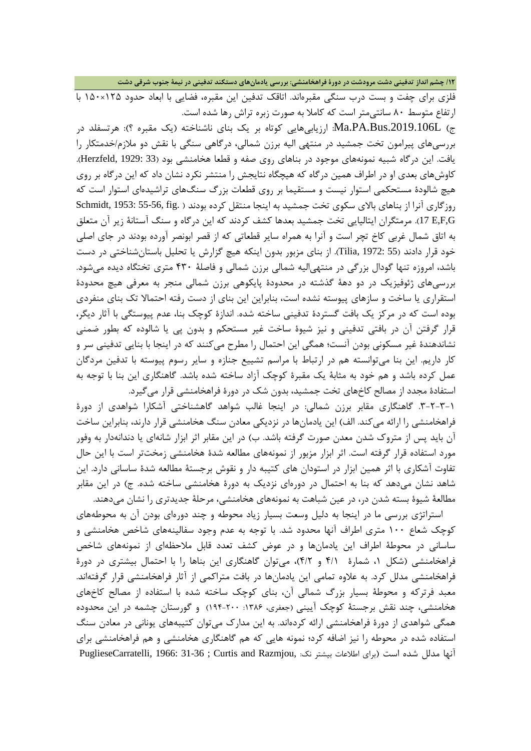**/12 چشم انداز تدفینی دشت مرودشت در دورة فراهخامنشی: بررسی یادمانهاي دستکند تدفینی در نیمۀ جنوب شرقی دشت**

فلزي براي چفت و بست درب سنگی مقبرهاند. اتاقک تدفین این مقبره، فضایی با ابعاد حدود 125×150 با ارتفاع متوسط 80 سانتیمتر است که کاملا به صورت زبره تراش رها شده است.

ج) L.2019.106Bus.PA.Ma: ارزیابیهایی کوتاه بر یک بناي ناشناخته (یک مقبره ؟): هرتسفلد در بررسیهاي پیرامون تخت جمشید در منتهی الیه برزن شمالی، درگاهی سنگی با نقش دو ملازم/خدمتکار را یافت. این درگاه شبیه نمونههاي موجود در بناهاي روي صفه و قطعا هخامنشی بود (33 1929: ,Herzfeld(. کاوشهاي بعدي او در اطراف همین درگاه که هیچگاه نتایجش را منتشر نکرد نشان داد که این درگاه بر روي هیچ شالودة مستحکمی استوار نیست و مستقیما بر روي قطعات بزرگ سنگهاي تراشیدهاي استوار است که روزگاري آنرا از بناهاي بالاي سکوي تخت جمشید به اینجا منتقل کرده بودند ( .fig 55-56, 1953: ,Schmidt G,F,E 17(. مرمتگران ایتالیایی تخت جمشید بعدها کشف کردند که این درگاه و سنگ آستانۀ زیر آن متعلق به اتاق شمال غربی کاخ تچر است و آنرا به همراه سایر قطعاتی که از قصر ابونصر آورده بودند در جاي اصلی خود قرار دادند (55 1972: ,Tilia(. از بناي مزبور بدون اینکه هیچ گزارش یا تحلیل باستانشناختی در دست باشد، امروزه تنها گودال بزرگی در منتهیالیه شمالی برزن شمالی و فاصلۀ 430 متري تختگاه دیده میشود. بررسیهاي ژئوفیزیک در دو دهۀ گذشته در محدودة پایکوهی برزن شمالی منجر به معرفی هیچ محدودة استقراري یا ساخت و سازهاي پیوسته نشده است، بنابراین این بناي از دست رفته احتمالا تک بناي منفردي بوده است که در مرکز یک بافت گستردة تدفینی ساخته شده. اندازة کوچک بنا، عدم پیوستگی با آثار دیگر، قرار گرفتن آن در بافتی تدفینی و نیز شیوة ساخت غیر مستحکم و بدون پی یا شالوده که بطور ضمنی نشاندهندة غیر مسکونی بودن آنست؛ همگی این احتمال را مطرح میکنند که در اینجا با بنایی تدفینی سر و کار داریم. این بنا میتوانسته هم در ارتباط با مراسم تشییع جنازه و سایر رسوم پیوسته با تدفین مردگان عمل کرده باشد و هم خود به مثابۀ یک مقبرة کوچک آزاد ساخته شده باشد. گاهنگاري این بنا با توجه به استفادة مجدد از مصالح کاخهاي تخت جمشید، بدون شک در دورة فراهخامنشی قرار میگیرد.

.3-2-3-1 گاهنگاري مقابر برزن شمالی: در اینجا غالب شواهد گاهشناختی آشکارا شواهدي از دورة فراهخامنشی را ارائه میکند. الف) این یادمانها در نزدیکی معادن سنگ هخامنشی قرار دارند، بنابراین ساخت آن باید پس از متروك شدن معدن صورت گرفته باشد. ب) در این مقابر اثر ابزار شانهاي یا دندانهدار به وفور مورد استفاده قرار گرفته است. اثر ابزار مزبور از نمونههاي مطالعه شدة هخامنشی زمختتر است با این حال تفاوت آشکاري با اثر همین ابزار در استودان هاي کتیبه دار و نقوش برجستۀ مطالعه شدة ساسانی دارد. این شاهد نشان میدهد که بنا به احتمال در دورهاي نزدیک به دورة هخامنشی ساخته شده. ج) در این مقابر مطالعۀ شیوة بسته شدن در، در عین شباهت به نمونههاي هخامنشی، مرحلۀ جدیدتري را نشان میدهند.

استراتژي بررسی ما در اینجا به دلیل وسعت بسیار زیاد محوطه و چند دورهاي بودن آن به محوطههاي کوچک شعاع 100 متري اطراف آنها محدود شد. با توجه به عدم وجود سفالینههاي شاخص هخامنشی و ساسانی در محوطۀ اطراف این یادمانها و در عوض کشف تعدد قابل ملاحظهاي از نمونههاي شاخص فراهخامنشی (شکل ،1 شمارة 4/1 و 4/2)، میتوان گاهنگاري این بناها را با احتمال بیشتري در دورة فراهخامنشی مدلل کرد. به علاوه تمامی این یادمانها در بافت متراکمی از آثار فراهخامنشی قرار گرفتهاند. معبد فرترکه و محوطۀ بسیار بزرگ شمالی آن، بناي کوچک ساخته شده با استفاده از مصالح کاخهاي هخامنشی، چند نقش برجستۀ کوچک آیینی (جعفري، :1386 194-200) و گورستان چشمه در این محدوده همگی شواهدي از دورة فراهخامنشی ارائه کردهاند. به این مدارك میتوان کتیبههاي یونانی در معادن سنگ استفاده شده در محوطه را نیز اضافه کرد؛ نمونه هایی که هم گاهنگاري هخامنشی و هم فراهخامنشی براي آنها مدلل شده است (براي اطلاعات بیشتر نک: ,Razmjou and Curtis ; 31-36 1966: ,PuglieseCarratelli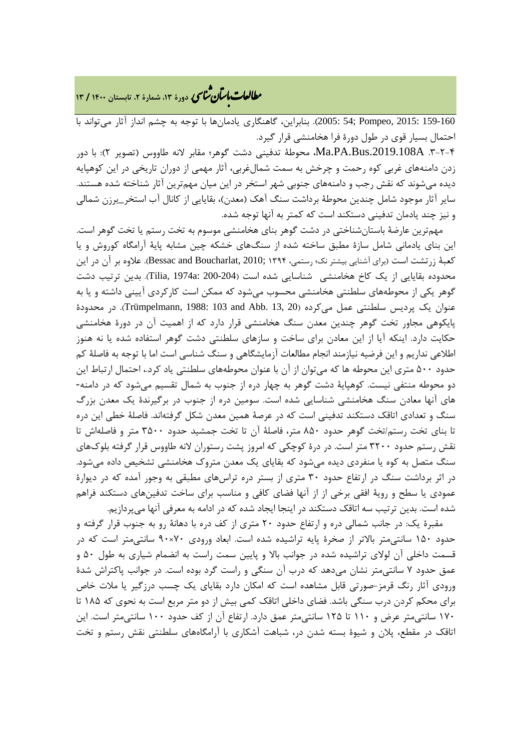## **، دورة ،13 شمارة ،2 تابستان <sup>1400</sup> / <sup>13</sup>** �نا� �طا ی �عات با�تان

159-160 2015: ,Pompeo; 54 2005:(. بنابراین، گاهنگاري یادمانها با توجه به چشم انداز آثار میتواند با احتمال بسیار قوي در طول دورة فرا هخامنشی قرار گیرد.

.3-2-4 A.2019.108Bus.PA.Ma، محوطۀ تدفینی دشت گوهر؛ مقابر لانه طاووس (تصویر 2): با دور زدن دامنههاي غربی کوه رحمت و چرخش به سمت شمالغربی، آثار مهمی از دوران تاریخی در این کوهپایه دیده میشوند که نقش رجب و دامنههاي جنوبی شهر استخر در این میان مهمترین آثار شناخته شده هستند. سایر آثار موجود شامل چندین محوطۀ برداشت سنگ آهک (معدن)، بقایایی از کانال آب استخر\_برزن شمالی و نیز چند یادمان تدفینی دستکند است که کمتر به آنها توجه شده.

مهمترین عارضۀ باستانشناختی در دشت گوهر بناي هخامنشی موسوم به تخت رستم یا تخت گوهر است. این بناي یادمانی شامل سازة مطبق ساخته شده از سنگهاي خشکه چین مشابه پایۀ آرامگاه کوروش و یا کعبۀ زرتشت است (براي آشنایی بیشتر نک؛ رستمی، 1394 ;2010 ,Boucharlat and Bessac(. علاوه بر آن در این محدوده بقایایی از یک کاخ هخامنشی شناسایی شده است (200-204 :a1974 ,Tilia(. بدین ترتیب دشت گوهر یکی از محوطههاي سلطنتی هخامنشی محسوب میشود که ممکن است کارکردي آیینی داشته و یا به عنوان یک پردیس سلطنتی عمل میکرده (20 .Trümpelmann, 1988: 103 and Abb. 13, 20). در محدودهٔ پایکوهی مجاور تخت گوهر چندین معدن سنگ هخامنشی قرار دارد که از اهمیت آن در دورة هخامنشی حکایت دارد. اینکه آیا از این معادن براي ساخت و سازهاي سلطنتی دشت گوهر استفاده شده یا نه هنوز اطلاعی نداریم و این فرضیه نیازمند انجام مطالعات آزمایشگاهی و سنگ شناسی است اما با توجه به فاصلۀ کم حدود 500 متري این محوطه ها که میتوان از آن با عنوان محوطههاي سلطنتی یاد کرد،. احتمال ارتباط این دو محوطه منتفی نیست. کوهپایۀ دشت گوهر به چهار دره از جنوب به شمال تقسیم میشود که در دامنه- هاي آنها معادن سنگ هخامنشی شناسایی شده است. سومین دره از جنوب در برگیرندة یک معدن بزرگ سنگ و تعدادي اتاقک دستکند تدفینی است که در عرصۀ همین معدن شکل گرفتهاند. فاصلۀ خطی این دره تا بناي تخت رستم/تخت گوهر حدود 850 متر، فاصلۀ آن تا تخت جمشید حدود 3500 متر و فاصلهاش تا نقش رستم حدود 3200 متر است. در درة کوچکی که امروز پشت رستوران لانه طاووس قرار گرفته بلوكهاي سنگ متصل به کوه یا منفردي دیده میشود که بقایاي یک معدن متروك هخامنشی تشخیص داده میشود. در اثر برداشت سنگ در ارتفاع حدود 30 متري از بستر دره تراسهاي مطبقی به وجور آمده که در دیوارة عمودي یا سطح و رویۀ افقی برخی از از آنها فضاي کافی و مناسب براي ساخت تدفینهاي دستکند فراهم شده است. بدین ترتیب سه اتاقک دستکند در اینجا ایجاد شده که در ادامه به معرفی آنها میپردازیم.

مقبرة یک: در جانب شمالی دره و ارتفاع حدود 20 متري از کف دره با دهانۀ رو به جنوب قرار گرفته و حدود 150 سانتیمتر بالاتر از صخرة پایه تراشیده شده است. ابعاد ورودي 70×90 سانتیمتر است که در قسمت داخلی آن لولاي تراشیده شده در جوانب بالا و پایین سمت راست به انضمام شیاري به طول 50 و عمق حدود 7 سانتیمتر نشان میدهد که درب آن سنگی و راست گرد بوده است. در جوانب پاکتراش شدة ورودي آثار رنگ قرمز-صورتی قابل مشاهده است که امکان دارد بقایاي یک چسب درزگیر یا ملات خاص براي محکم کردن درب سنگی باشد. فضاي داخلی اتاقک کمی بیش از دو متر مربع است به نحوي که 185 تا 170 سانتیمتر عرض و 110 تا 125 سانتیمتر عمق دارد. ارتفاع آن از کف حدود 100 سانتیمتر است. این اتاقک در مقطع، پلان و شیوة بسته شدن در، شباهت آشکاري با آرامگاههاي سلطنتی نقش رستم و تخت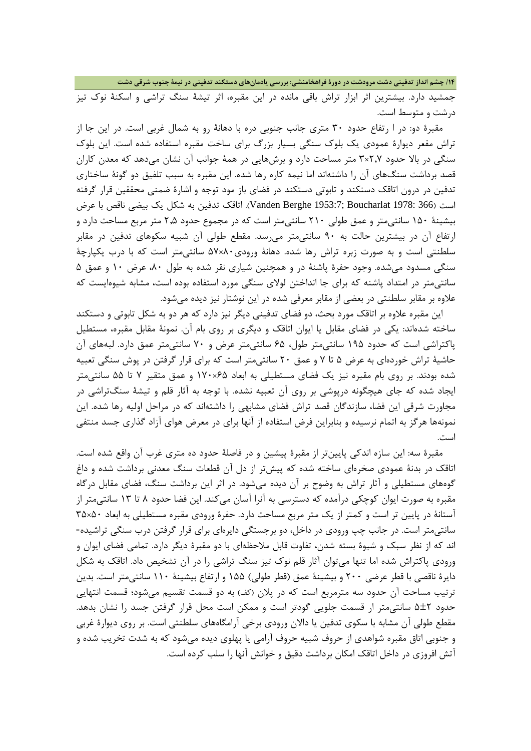**/14 چشم انداز تدفینی دشت مرودشت در دورة فراهخامنشی: بررسی یادمانهاي دستکند تدفینی در نیمۀ جنوب شرقی دشت**

جمشید دارد. بیشترین اثر ابزار تراش باقی مانده در این مقبره، اثر تیشۀ سنگ تراشی و اسکنۀ نوك تیز درشت و متوسط است.

مقبرة دو: در ا رتفاع حدود 30 متري جانب جنوبی دره با دهانۀ رو به شمال غربی است. در این جا از تراش مقعر دیوارة عمودي یک بلوك سنگی بسیار بزرگ براي ساخت مقبره استفاده شده است. این بلوك سنگی در بالا حدود 2,7×3 متر مساحت دارد و برشهایی در همۀ جوانب آن نشان میدهد که معدن کاران قصد برداشت سنگهاي آن را داشتهاند اما نیمه کاره رها شده. این مقبره به سبب تلفیق دو گونۀ ساختاري تدفین در درون اتاقک دستکند و تابوتی دستکند در فضاي باز مود توجه و اشارة ضمنی محققین قرار گرفته است (366 1978: Boucharlat; 1953:7 Berghe Vanden(. اتاقک تدفین به شکل یک بیضی ناقص با عرض بیشینۀ 150 سانتیمتر و عمق طولی 210 سانتیمتر است که در مجموع حدود 2,5 متر مربع مساحت دارد و ارتفاع آن در بیشترین حالت به 90 سانتیمتر میرسد. مقطع طولی آن شبیه سکوهاي تدفین در مقابر سلطنتی است و به صورت زبره تراش رها شده. دهانۀ ورودي80×57 سانتیمتر است که با درب یکپارچۀ سنگی مسدود میشده. وجود حفرة پاشنۀ در و همچنین شیاري نقر شده به طول ،80 عرض 10 و عمق 5 سانتیمتر در امتداد پاشنه که براي جا انداختن لولاي سنگی مورد استفاده بوده است، مشابه شیوهایست که علاوه بر مقابر سلطنتی در بعضی از مقابر معرفی شده در این نوشتار نیز دیده میشود.

این مقبره علاوه بر اتاقک مورد بحث، دو فضاي تدفینی دیگر نیز دارد که هر دو به شکل تابوتی و دستکند ساخته شدهاند: یکی در فضاي مقابل یا ایوان اتاقک و دیگري بر روي بام آن. نمونۀ مقابل مقبره، مستطیل پاکتراشی است که حدود 195 سانتیمتر طول، 65 سانتیمتر عرض و 70 سانتیمتر عمق دارد. لبههاي آن حاشیۀ تراش خوردهاي به عرض 5 تا 7 و عمق 20 سانتیمتر است که براي قرار گرفتن در پوش سنگی تعبیه شده بودند. بر روي بام مقبره نیز یک فضاي مستطیلی به ابعاد 65×170 و عمق متقیر 7 تا 55 سانتیمتر ایجاد شده که جاي هیچگونه درپوشی بر روي آن تعبیه نشده. با توجه به آثار قلم و تیشۀ سنگتراشی در مجاورت شرقی این فضا، سازندگان قصد تراش فضاي مشابهی را داشتهاند که در مراحل اولیه رها شده. این نمونهها هرگز به اتمام نرسیده و بنابراین فرض استفاده از آنها براي در معرض هواي آزاد گذاري جسد منتفی است.

مقبرة سه: این سازه اندکی پایینتر از مقبرة پیشین و در فاصلۀ حدود ده متري غرب آن واقع شده است. اتاقک در بدنۀ عمودي صخرهاي ساخته شده که پیشتر از دل آن قطعات سنگ معدنی برداشت شده و داغ گوههاي مستطیلی و آثار تراش به وضوح بر آن دیده میشود. در اثر این برداشت سنگ، فضاي مقابل درگاه مقبره به صورت ایوان کوچکی درآمده که دسترسی به آنرا آسان میکند. این فضا حدود 8 تا 13 سانتیمتر از آستانۀ در پایین تر است و کمتر از یک متر مربع مساحت دارد. حفرة ورودي مقبره مستطیلی به ابعاد 50×35 سانتیمتر است. در جانب چپ ورودي در داخل، دو برجستگی دایرهاي براي قرار گرفتن درب سنگی تراشیده- اند که از نظر سبک و شیوة بسته شدن، تفاوت قابل ملاحظهاي با دو مقبرة دیگر دارد. تمامی فضاي ایوان و ورودي پاکتراش شده اما تنها میتوان آثار قلم نوك تیز سنگ تراشی را در آن تشخیص داد. اتاقک به شکل دایرة ناقصی با قطر عرضی 200 و بیشینۀ عمق (قطر طولی) 155 و ارتفاع بیشینۀ 110 سانتیمتر است. بدین ترتیب مساحت آن حدود سه مترمربع است که در پلان (کف) به دو قسمت تقسیم میشود؛ قسمت انتهایی حدود 5±2 سانتیمتر ار قسمت جلویی گودتر است و ممکن است محل قرار گرفتن جسد را نشان بدهد. مقطع طولی آن مشابه با سکوي تدفین یا دالان ورودي برخی آرامگاههاي سلطنتی است. بر روي دیوارة غربی و جنوبی اتاق مقبره شواهدي از حروف شبیه حروف آرامی یا پهلوي دیده میشود که به شدت تخریب شده و آتش افروزي در داخل اتاقک امکان برداشت دقیق و خوانش آنها را سلب کرده است.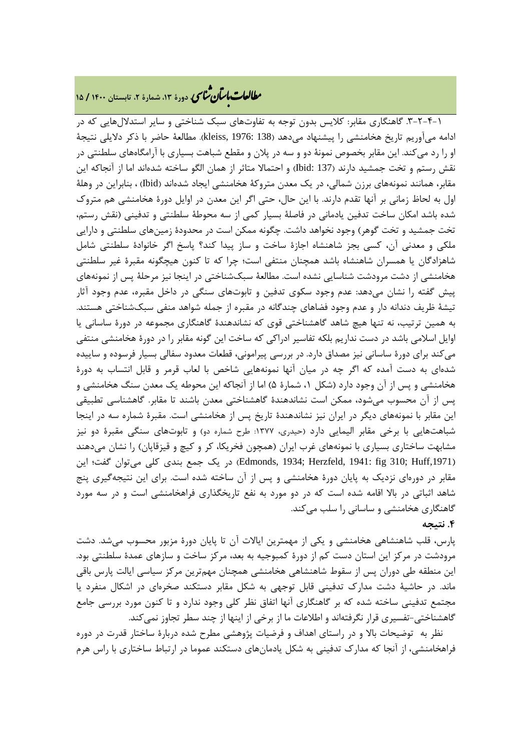# **، دورة ،13 شمارة ،2 تابستان <sup>1400</sup> / <sup>15</sup>** �نا� �طا ی �عات با�تان

.3-2-4-1 گاهنگاري مقابر: کلایس بدون توجه به تفاوتهاي سبک شناختی و سایر استدلالهایی که در ادامه میآوریم تاریخ هخامنشی را پیشنهاد میدهد (138 1976: ,kleiss(. مطالعۀ حاضر با ذکر دلایلی نتیجۀ او را رد میکند. این مقابر بخصوص نمونۀ دو و سه در پلان و مقطع شباهت بسیاري با آرامگاههاي سلطنتی در نقش رستم و تخت جمشید دارند (137 :Ibid (و احتمالا متاثر از همان الگو ساخته شدهاند اما از آنجاکه این مقابر، همانند نمونههاي برزن شمالی، در یک معدن متروکۀ هخامنشی ایجاد شدهاند (Ibid (، بنابراین در وهلۀ اول به لحاظ زمانی بر آنها تقدم دارند. با این حال، حتی اگر این معدن در اوایل دورة هخامنشی هم متروك شده باشد امکان ساخت تدفین یادمانی در فاصلۀ بسیار کمی از سه محوطۀ سلطنتی و تدفینی (نقش رستم، تخت جمشید و تخت گوهر) وجود نخواهد داشت. چگونه ممکن است در محدودة زمینهاي سلطنتی و دارایی ملکی و معدنی آن، کسی بجز شاهنشاه اجازة ساخت و ساز پیدا کند؟ پاسخ اگر خانوادة سلطنتی شامل شاهزادگان یا همسران شاهنشاه باشد همچنان منتفی است؛ چرا که تا کنون هیچگونه مقبرة غیر سلطنتی هخامنشی از دشت مرودشت شناسایی نشده است. مطالعۀ سبکشناختی در اینجا نیز مرحلۀ پس از نمونههاي پیش گفته را نشان میدهد: عدم وجود سکوي تدفین و تابوتهاي سنگی در داخل مقبره، عدم وجود آثار تیشۀ ظریف دندانه دار و عدم وجود فضاهاي چندگانه در مقبره از جمله شواهد منفی سبکشناختی هستند. به همین ترتیب، نه تنها هیچ شاهد گاهشناختی قوي که نشاندهندة گاهنگاري مجموعه در دورة ساسانی یا اوایل اسلامی باشد در دست نداریم بلکه تفاسیر ادراکی که ساخت این گونه مقابر را در دورة هخامنشی منتفی میکند براي دورة ساسانی نیز مصداق دارد. در بررسی پیرامونی، قطعات معدود سفالی بسیار فرسوده و ساییده شدهاي به دست آمده که اگر چه در میان آنها نمونههایی شاخص با لعاب قرمر و قابل انتساب به دورة هخامنشی و پس از آن وجود دارد (شکل ،1 شمارة 5) اما از آنجاکه این محوطه یک معدن سنگ هخامنشی و پس از آن محسوب میشود، ممکن است نشاندهندة گاهشناختی معدن باشند تا مقابر. گاهشناسی تطبیقی این مقابر با نمونههاي دیگر در ایران نیز نشاندهندة تاریخ پس از هخامنشی است. مقبرة شماره سه در اینجا شباهتهایی با برخی مقابر الیمایی دارد (حیدري، :1377 طرح شماره دو) و تابوتهاي سنگی مقبرة دو نیز مشابهت ساختاري بسیاري با نمونههاي غرب ایران (همچون فخریکا، کر و کیچ و قیزقاپان) را نشان میدهند (Edmonds, 1934; Herzfeld, 1941: fig 310; Huff,1971) در یک جمع بندی کلی میتوان گفت؛ این مقابر در دورهاي نزدیک به پایان دورة هخامنشی و پس از آن ساخته شده است. براي این نتیجهگیري پنج شاهد اثباتی در بالا اقامه شده است که در دو مورد به نفع تاریخگذاري فراهخامنشی است و در سه مورد گاهنگاري هخامنشی و ساسانی را سلب میکند.

### **.4 نتیجه**

پارس، قلب شاهنشاهی هخامنشی و یکی از مهمترین ایالات آن تا پایان دورة مزبور محسوب میشد. دشت مرودشت در مرکز این استان دست کم از دورة کمبوجیه به بعد، مرکز ساخت و سازهاي عمدة سلطنتی بود. این منطقه طی دوران پس از سقوط شاهنشاهی هخامنشی همچنان مهمترین مرکز سیاسی ایالت پارس باقی ماند. در حاشیۀ دشت مدارك تدفینی قابل توجهی به شکل مقابر دستکند صخرهاي در اشکال منفرد یا مجتمع تدفینی ساخته شده که بر گاهنگاري آنها اتفاق نظر کلی وجود ندارد و تا کنون مورد بررسی جامع گاهشناختی-تفسیري قرار نگرفتهاند و اطلاعات ما از برخی از اینها از چند سطر تجاوز نمیکند.

نظر به توضیحات بالا و در راستاي اهداف و فرضیات پژوهشی مطرح شده دربارة ساختار قدرت در دوره فراهخامنشی، از آنجا که مدارك تدفینی به شکل یادمانهاي دستکند عموما در ارتباط ساختاري با راس هرم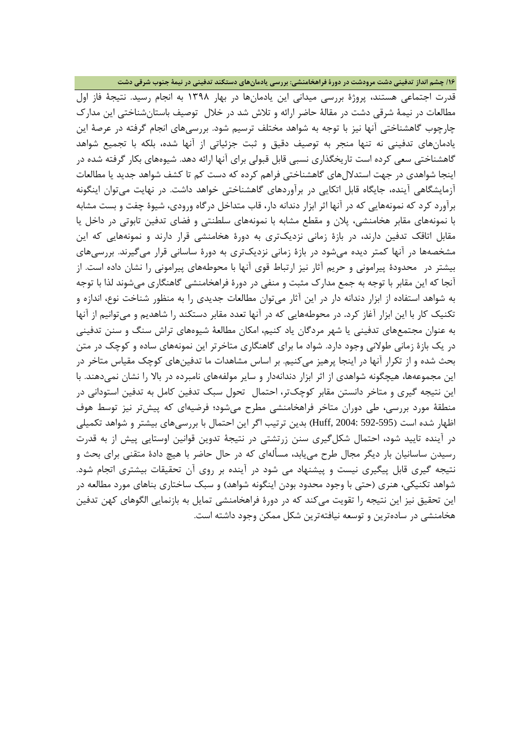**/16 چشم انداز تدفینی دشت مرودشت در دورة فراهخامنشی: بررسی یادمانهاي دستکند تدفینی در نیمۀ جنوب شرقی دشت**

قدرت اجتماعی هستند، پروژة بررسی میدانی این یادمانها در بهار 1398 به انجام رسید. نتیجۀ فاز اول مطالعات در نیمۀ شرقی دشت در مقالۀ حاضر ارائه و تلاش شد در خلال توصیف باستانشناختی این مدارك چارچوب گاهشناختی آنها نیز با توجه به شواهد مختلف ترسیم شود. بررسیهاي انجام گرفته در عرصۀ این یادمانهاي تدفینی نه تنها منجر به توصیف دقیق و ثبت جزئیاتی از آنها شده، بلکه با تجمیع شواهد گاهشناختی سعی کرده است تاریخگذاري نسبی قابل قبولی براي آنها ارائه دهد. شیوههاي بکار گرفته شده در اینجا شواهدي در جهت استدلالهاي گاهشناختی فراهم کرده که دست کم تا کشف شواهد جدید یا مطالعات آزمایشگاهی آینده، جایگاه قابل اتکایی در برآوردهاي گاهشناختی خواهد داشت. در نهایت میتوان اینگونه برآورد کرد که نمونههایی که در آنها اثر ابزار دندانه دار، قاب متداخل درگاه ورودي، شیوة چفت و بست مشابه با نمونههاي مقابر هخامنشی، پلان و مقطع مشابه با نمونههاي سلطنتی و فضاي تدفین تابوتی در داخل یا مقابل اتاقک تدفین دارند، در بازة زمانی نزدیکتري به دورة هخامنشی قرار دارند و نمونههایی که این مشخصهها در آنها کمتر دیده میشود در بازة زمانی نزدیکتري به دورة ساسانی قرار میگیرند. بررسیهاي بیشتر در محدودة پیرامونی و حریم آثار نیز ارتباط قوي آنها با محوطههاي پیرامونی را نشان داده است. از آنجا که این مقابر با توجه به جمع مدارك مثبت و منفی در دورة فراهخامنشی گاهنگاري میشوند لذا با توجه به شواهد استفاده از ابزار دندانه دار در این آثار میتوان مطالعات جدیدي را به منظور شناخت نوع، اندازه و تکنیک کار با این ابزار آغاز کرد**.** در محوطههایی که در آنها تعدد مقابر دستکند را شاهدیم و میتوانیم از آنها به عنوان مجتمعهاي تدفینی یا شهر مردگان یاد کنیم، امکان مطالعۀ شیوههاي تراش سنگ و سنن تدفینی در یک بازة زمانی طولانی وجود دارد. شواد ما براي گاهنگاري متاخرتر این نمونههاي ساده و کوچک در متن بحث شده و از تکرار آنها در اینجا پرهیز میکنیم. بر اساس مشاهدات ما تدفینهاي کوچک مقیاس متاخر در این مجموعهها، هیچگونه شواهدی از اثر ابزار دندانهدار و سایر مولفههای نامبرده در بالا را نشان نمی دهند. با این نتیجه گیري و متاخر دانستن مقابر کوچکتر، احتمال تحول سبک تدفین کامل به تدفین استودانی در منطقۀ مورد بررسی، طی دوران متاخر فراهخامنشی مطرح میشود؛ فرضیهاي که پیشتر نیز توسط هوف اظهار شده است (592-595 2004: ,Huff (بدین ترتیب اگر این احتمال با بررسیهاي بیشتر و شواهد تکمیلی در آینده تایید شود، احتمال شکلگیري سنن زرتشتی در نتیجۀ تدوین قوانین اوستایی پیش از به قدرت رسیدن ساسانیان بار دیگر مجال طرح مییابد، مسألهاي که در حال حاضر با هیچ دادة متقنی براي بحث و نتیجه گیري قابل پیگیري نیست و پیشنهاد می شود در آینده بر روي آن تحقیقات بیشتري اتجام شود. شواهد تکنیکی، هنري (حتی با وجود محدود بودن اینگونه شواهد) و سبک ساختاري بناهاي مورد مطالعه در این تحقیق نیز این نتیجه را تقویت میکند که در دورة فراهخامنشی تمایل به بازنمایی الگوهاي کهن تدفین هخامنشی در سادهترین و توسعه نیافتهترین شکل ممکن وجود داشته است.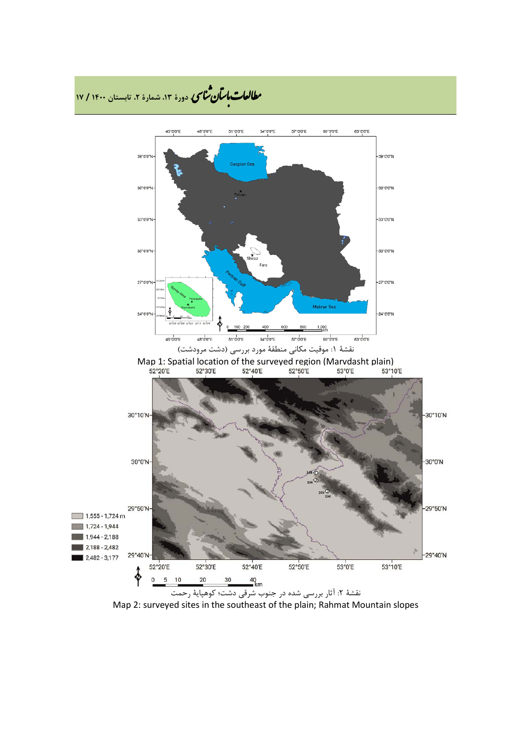

Map 2: surveyed sites in the southeast of the plain; Rahmat Mountain slopes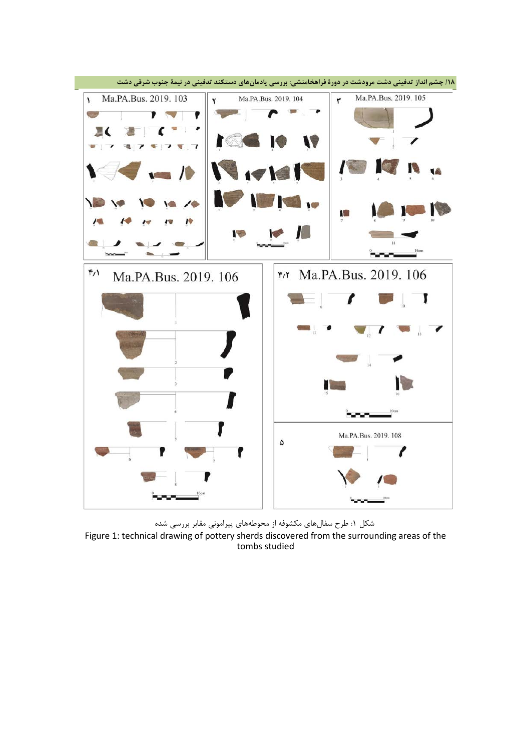

شکل :1 طرح سفالهاي مکشوفه از محوطههاي پیرامونی مقابر بررسی شده Figure 1: technical drawing of pottery sherds discovered from the surrounding areas of the tombs studied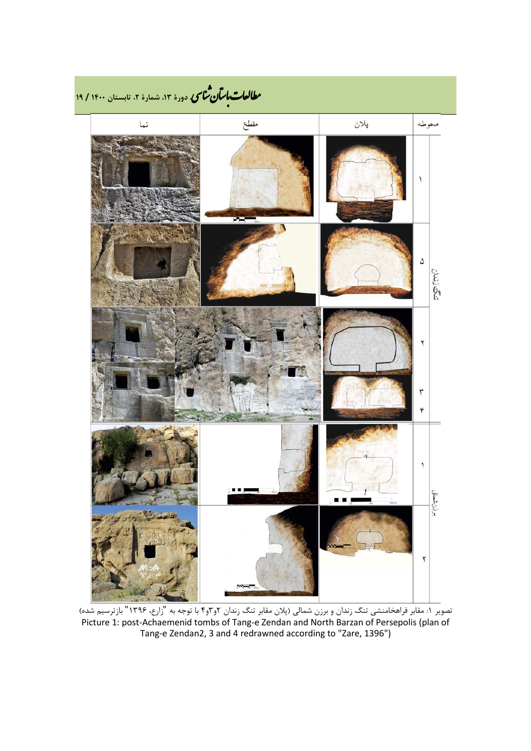

تصویر :1 مقابر فراهخامنشی تنگ زندان و برزن شمالی (پلان مقابر تنگ زندان 2و3و4 با توجه به "زارع، 1396" بازترسیم شده) Picture 1: post-Achaemenid tombs of Tang-e Zendan and North Barzan of Persepolis (plan of Tang-e Zendan2, 3 and 4 redrawned according to "Zare, 1396")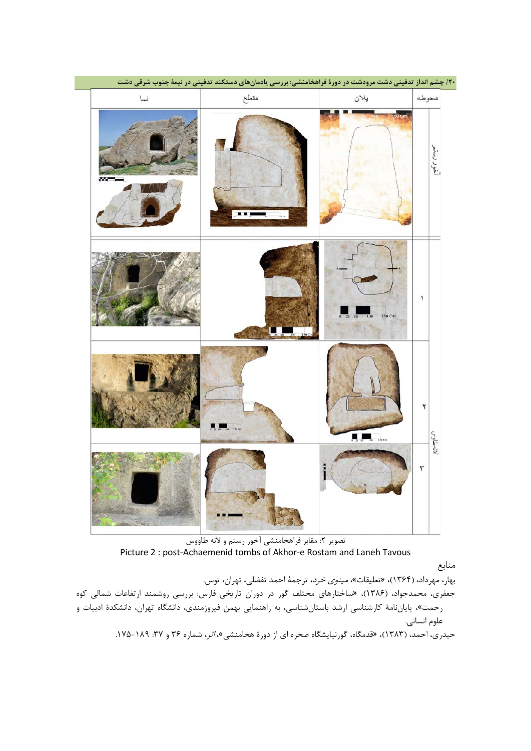| ی در نیمهٔ جنوب شرقی دشت | ۲۰/ چشم انداز تدفینی دشت مرودشت در دورهٔ فراهخامنشی: بررسی یادمانهای دستکند تدفیا |                     |               |
|--------------------------|-----------------------------------------------------------------------------------|---------------------|---------------|
| نما                      | مقطع                                                                              | پلان                | محوطه         |
|                          | pri                                                                               |                     | أخود رستع     |
|                          |                                                                                   | 150 Cm<br>50<br>100 | ١             |
|                          |                                                                                   |                     | ۲<br>لاتەطاوس |
|                          |                                                                                   |                     | ٣             |

تصویر ۲: مقابر فراهخامنشی آخور رستم و لانه طاووس Picture 2 : post-Achaemenid tombs of Akhor-e Rostam and Laneh Tavous

منابع

بهار، مهرداد، (1364)، «تعلیقات»، مینوي خرد، ترجمۀ احمد تفضلی، تهران، توس.

جعفري، محمدجواد، (1386)، «ساختارهاي مختلف گور در دوران تاریخی فارس: بررسی روشمند ارتفاعات شمالی کوه رحمت»، پایاننامۀ کارشناسی ارشد باستانشناسی، به راهنمایی بهمن فیروزمندي، دانشگاه تهران، دانشکدة ادبیات و علوم انسانی.

حیدري، احمد، (۱۳۸۳)، «قدمگاه، گورنیایشگاه صخره اي از دورهٔ هخامنشي»، *اثر*، شماره ۳۶ و ۳۷: ۱۸۹-۱۷۵.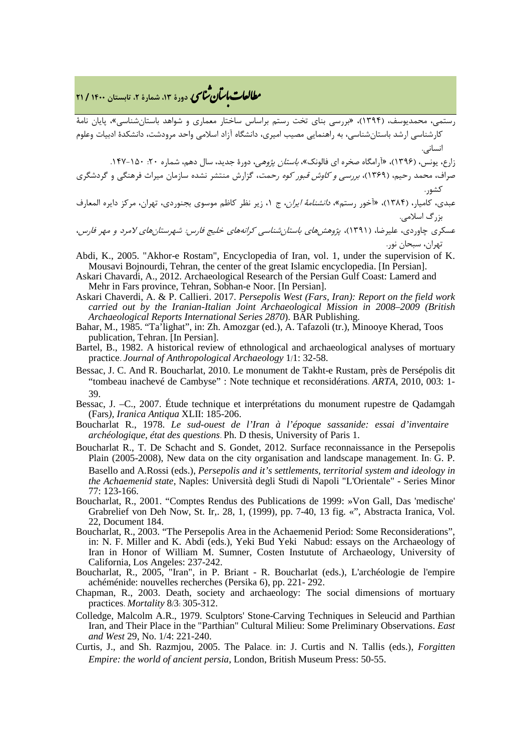## **، دورة ،13 شمارة ،2 تابستان <sup>1400</sup> / <sup>21</sup>** �نا� �طا ی �عات با�تان

رستمی، محمدیوسف، (1394)، «بررسی بناي تخت رستم براساس ساختار معماري و شواهد باستانشناسی»، پایان نامۀ کارشناسی ارشد باستانشناسی، به راهنمایی مصیب امیري، دانشگاه آزاد اسلامی واحد مرودشت، دانشکدة ادبیات وعلوم انسانی.

- زارع، یونس، (1396)، «آرامگاه صخره اي فالونک»، باستان پژوهی، دورة جدید، سال دهم، شماره :20 .147-150 صراف، محمد رحیم، (1369)، بررسی و کاوش قبور کوه رحمت، گزارش منتشر نشده سازمان میراث فرهنگی و گردشگري کشور.
- عبدي، کامیار، (۱۳۸۴)، «آخور رستم»، *دانشنامۀ ایران*، ج ۱، زیر نظر کاظم موسوی بجنوردی، تهران، مرکز دایره المعارف بزرگ اسلامی.
- عسکري چاوردي، علیرضا، (1391)، پژوهشهاي باستانشناسی کرانههاي خلیج فارس: شهرستانهاي لامرد <sup>و</sup> مهر فارس، تهران، سبحان نور.
- Abdi, K., 2005. "Akhor-e Rostam", Encyclopedia of Iran, vol. 1, under the supervision of K. Mousavi Bojnourdi, Tehran, the center of the great Islamic encyclopedia. [In Persian].
- Askari Chavardi, A., 2012. Archaeological Research of the Persian Gulf Coast: Lamerd and Mehr in Fars province, Tehran, Sobhan-e Noor. [In Persian].
- Askari Chaverdi, A. & P. Callieri. 2017. *Persepolis West (Fars, Iran): Report on the field work carried out by the Iranian-Italian Joint Archaeological Mission in 2008–2009 (British Archaeological Reports International Series 2870*). BAR Publishing.
- Bahar, M., 1985. "Ta'lighat", in: Zh. Amozgar (ed.), A. Tafazoli (tr.), Minooye Kherad, Toos publication, Tehran. [In Persian].
- Bartel, B., 1982. A historical review of ethnological and archaeological analyses of mortuary practice. *Journal of Anthropological Archaeology* 1/1: 32-58.
- Bessac, J. C. And R. Boucharlat, 2010. Le monument de Takht-e Rustam, près de Persépolis dit "tombeau inachevé de Cambyse" : Note technique et reconsidérations. *ARTA*, 2010, 003: 1- 39.
- Bessac, J. –C., 2007. Étude technique et interprétations du monument rupestre de Qadamgah (Fars*), Iranica Antiqua* XLII: 185-206.
- Boucharlat R., 1978. *Le sud-ouest de l'Iran à l'époque sassanide: essai d'inventaire archéologique, état des questions*. Ph. D thesis, University of Paris 1.
- Boucharlat R., T. De Schacht and S. Gondet, 2012. Surface reconnaissance in the Persepolis Plain (2005-2008), New data on the city organisation and landscape management. In: G. P. Basello and A.Rossi (eds.), *Persepolis and it's settlements, territorial system and ideology in the Achaemenid state*, Naples: Università degli Studi di Napoli "L'Orientale" - Series Minor 77: 123-166.
- Boucharlat, R., 2001. "Comptes Rendus des Publications de 1999: »Von Gall, Das 'medische' Grabrelief von Deh Now, St. Ir,. 28, 1, (1999), pp. 7-40, 13 fig. «", Abstracta Iranica, Vol. 22, Document 184.
- Boucharlat, R., 2003. "The Persepolis Area in the Achaemenid Period: Some Reconsiderations", in: N. F. Miller and K. Abdi (eds.), Yeki Bud Yeki Nabud: essays on the Archaeology of Iran in Honor of William M. Sumner, Costen Instutute of Archaeology, University of California, Los Angeles: 237-242.
- Boucharlat, R., 2005, "Iran", in P. Briant R. Boucharlat (eds.), L'archéologie de l'empire achéménide: nouvelles recherches (Persika 6), pp. 221- 292.
- Chapman, R., 2003. Death, society and archaeology: The social dimensions of mortuary practices. *Mortality* 8/3: 305-312.
- Colledge, Malcolm A.R., 1979. Sculptors' Stone-Carving Techniques in Seleucid and Parthian Iran, and Their Place in the "Parthian" Cultural Milieu: Some Preliminary Observations. *East and West* 29, No. 1/4: 221-240.
- Curtis, J., and Sh. Razmjou, 2005. The Palace. in: J. Curtis and N. Tallis (eds.), *Forgitten Empire: the world of ancient persia*, London, British Museum Press: 50-55.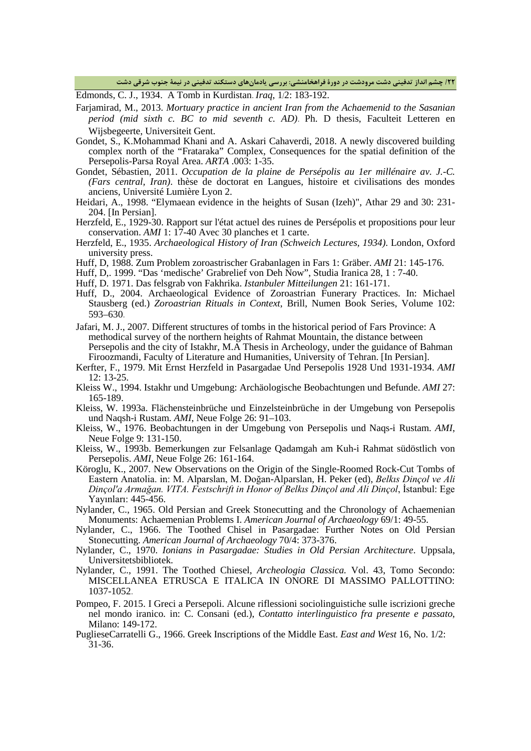**/22 چشم انداز تدفینی دشت مرودشت در دورة فراهخامنشی: بررسی یادمانهاي دستکند تدفینی در نیمۀ جنوب شرقی دشت**

Edmonds, C. J., 1934. A Tomb in Kurdistan. *Iraq*, 1/2: 183-192.

- Farjamirad, M., 2013. *Mortuary practice in ancient Iran from the Achaemenid to the Sasanian period (mid sixth c. BC to mid seventh c. AD)*. Ph. D thesis, Faculteit Letteren en Wijsbegeerte, Universiteit Gent.
- Gondet, S., K.Mohammad Khani and A. Askari Cahaverdi, 2018. A newly discovered building complex north of the "Frataraka" Complex, Consequences for the spatial definition of the Persepolis-Parsa Royal Area. *ARTA* .003: 1-35.
- Gondet, Sébastien, 2011. *Occupation de la plaine de Persépolis au 1er millénaire av. J.-C. (Fars central, Iran)*. thèse de doctorat en Langues, histoire et civilisations des mondes anciens, Université Lumière Lyon 2.
- Heidari, A., 1998. "Elymaean evidence in the heights of Susan (Izeh)", Athar 29 and 30: 231- 204. [In Persian].
- Herzfeld, E., 1929-30. Rapport sur l'état actuel des ruines de Persépolis et propositions pour leur conservation. *AMI* 1: 17-40 Avec 30 planches et 1 carte.
- Herzfeld, E., 1935. *Archaeological History of Iran (Schweich Lectures, 1934)*. London, Oxford university press.
- Huff, D, 1988. Zum Problem zoroastrischer Grabanlagen in Fars 1: Gräber. *AMI* 21: 145-176.
- Huff, D,. 1999. "Das 'medische' Grabrelief von Deh Now", Studia Iranica 28, 1 : 7-40.
- Huff, D. 1971. Das felsgrab von Fakhrika. *Istanbuler Mitteilungen* 21: 161-171.
- Huff, D., 2004. Archaeological Evidence of Zoroastrian Funerary Practices. In: Michael Stausberg (ed.) *Zoroastrian Rituals in Context*, Brill, Numen Book Series, Volume 102: 593–630.
- Jafari, M. J., 2007. Different structures of tombs in the historical period of Fars Province: A methodical survey of the northern heights of Rahmat Mountain, the distance between Persepolis and the city of Istakhr, M.A Thesis in Archeology, under the guidance of Bahman Firoozmandi, Faculty of Literature and Humanities, University of Tehran. [In Persian].
- Kerfter, F., 1979. Mit Ernst Herzfeld in Pasargadae Und Persepolis 1928 Und 1931-1934. *AMI* 12: 13-25.
- Kleiss W., 1994. Istakhr und Umgebung: Archäologische Beobachtungen und Befunde. *AMI* 27: 165-189.
- Kleiss, W. 1993a. Flächensteinbrüche und Einzelsteinbrüche in der Umgebung von Persepolis und Naqsh-i Rustam. *AMI*, Neue Folge 26: 91–103.
- Kleiss, W., 1976. Beobachtungen in der Umgebung von Persepolis und Naqs-i Rustam. *AMI*, Neue Folge 9: 131-150.
- Kleiss, W., 1993b. Bemerkungen zur Felsanlage Qadamgah am Kuh-i Rahmat südöstlich von Persepolis. *AMI*, Neue Folge 26: 161-164.
- Köroglu, K., 2007. New Observations on the Origin of the Single-Roomed Rock-Cut Tombs of Eastern Anatolia. in: M. Alparslan, M. Doğan-Alparslan, H. Peker (ed), *Belkıs Dinçol ve Ali Dinçol'a Armağan. VITA. Festschrift in Honor of Belkıs Dinçol and Ali Dinçol*, İstanbul: Ege Yayınları: 445-456.
- Nylander, C., 1965. Old Persian and Greek Stonecutting and the Chronology of Achaemenian Monuments: Achaemenian Problems I. *American Journal of Archaeology* 69/1: 49-55.
- Nylander, C., 1966. The Toothed Chisel in Pasargadae: Further Notes on Old Persian Stonecutting. *American Journal of Archaeology* 70/4: 373-376.
- Nylander, C., 1970. *Ionians in Pasargadae: Studies in Old Persian Architecture*. Uppsala, Universitetsbibliotek.
- Nylander, C., 1991. The Toothed Chiesel, *Archeologia Classica.* Vol. 43, Tomo Secondo: MISCELLANEA ETRUSCA E ITALICA IN ONORE DI MASSIMO PALLOTTINO: 1037-1052.
- Pompeo, F. 2015. I Greci a Persepoli. Alcune riflessioni sociolinguistiche sulle iscrizioni greche nel mondo iranico. in: C. Consani (ed.), *Contatto interlinguistico fra presente e passato*, Milano: 149-172.
- PuglieseCarratelli G., 1966. Greek Inscriptions of the Middle East. *East and West* 16, No. 1/2: 31-36.